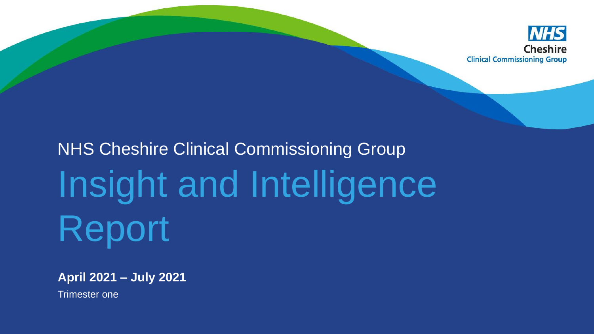

# NHS Cheshire Clinical Commissioning Group Insight and Intelligence Report

**April 2021 – July 2021** 

Trimester one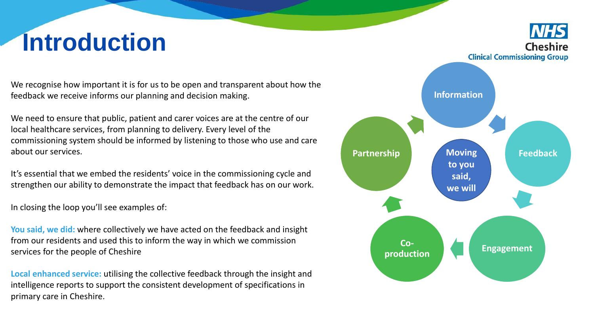# **Introduction**

We recognise how important it is for us to be open and transparent about how the feedback we receive informs our planning and decision making.

We need to ensure that public, patient and carer voices are at the centre of our local healthcare services, from planning to delivery. Every level of the commissioning system should be informed by listening to those who use and care about our services.

It's essential that we embed the residents' voice in the commissioning cycle and strengthen our ability to demonstrate the impact that feedback has on our work.

In closing the loop you'll see examples of:

**You said, we did:** where collectively we have acted on the feedback and insight from our residents and used this to inform the way in which we commission services for the people of Cheshire

**Local enhanced service:** utilising the collective feedback through the insight and intelligence reports to support the consistent development of specifications in primary care in Cheshire.

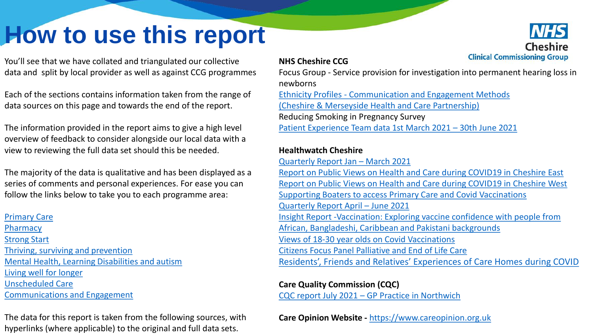## <span id="page-2-0"></span>**How to use this report**

You'll see that we have collated and triangulated our collective data and split by local provider as well as against CCG programmes

Each of the sections contains information taken from the range of data sources on this page and towards the end of the report.

The information provided in the report aims to give a high level overview of feedback to consider alongside our local data with a view to reviewing the full data set should this be needed.

The majority of the data is qualitative and has been displayed as a series of comments and personal experiences. For ease you can follow the links below to take you to each programme area:

### [Primary Care](#page-4-0) **[Pharmacy](#page-15-0)** [Strong Start](#page-18-0) [Thriving, surviving and prevention](#page-21-0) [Mental Health, Learning Disabilities and autism](#page-31-0) [Living well for longer](#page-35-0)  [Unscheduled Care](#page-38-0) [Communications and Engagement](#page-39-0)

The data for this report is taken from the following sources, with hyperlinks (where applicable) to the original and full data sets.

### **NHS Cheshire CCG**

Focus Group - Service provision for investigation into permanent hearing loss in newborns Ethnicity Profiles - [Communication and Engagement Methods](https://westcheshireway.glasscubes.com/share/s/s03ecsgjlh2h5lh80hl05vckdn)  [\(Cheshire & Merseyside Health and Care Partnership\)](https://westcheshireway.glasscubes.com/share/s/s03ecsgjlh2h5lh80hl05vckdn) Reducing Smoking in Pregnancy Survey

[Patient Experience Team data 1st March 2021](https://westcheshireway.glasscubes.com/share/s/giegp36ehtml364t1bihfjm2uh) – 30th June 2021

### **Healthwatch Cheshire**

[Quarterly Report Jan](https://westcheshireway.glasscubes.com/share/s/5eb9m6b05g2v5lgsce2qec73kr) – March 2021 [Report on Public Views on Health and Care during COVID19 in Cheshire East](https://healthwatchcheshireeast.org.uk/wp-content/uploads/2021/06/All-Cheshire-East-Care-Communities-Oct-2020-Mar-2021-FINAL.pdf) [Report on Public Views on Health and Care during COVID19 in Cheshire West](https://healthwatchcwac.org.uk/wp-content/uploads/2021/06/All-Cheshire-West-Care-Communities-Oct-2020-Mar-2021-FINAL.pdf) [Supporting Boaters to access Primary Care and Covid Vaccinations](https://healthwatchcheshireeast.org.uk/wp-content/uploads/2021/07/Supporting-the-Boating-Community-Final-Report-May-2021.pdf) [Quarterly Report April](https://westcheshireway.glasscubes.com/share/s/b662dtbhq928nsoongjaq4h7d2) – June 2021 [Insight Report -Vaccination: Exploring vaccine confidence with people from](https://westcheshireway.glasscubes.com/share/s/qa100fab9bubu9sjlv67va1ak0)  African, Bangladeshi, Caribbean and Pakistani backgrounds [Views of 18-30 year olds on Covid Vaccinations](https://healthwatchcheshireeast.org.uk/wp-content/uploads/2021/08/Views-of-18-30-year-olds-on-COVID-19-vaccinations-Healthwatch-Cheshire-July-2021.pdf) [Citizens Focus Panel Palliative and End of Life Care](https://healthwatchcheshireeast.org.uk/wp-content/uploads/2021/07/Citizens-Focus-Panel-Report-4-May-2021-Dying-Matters-Survey.pdf) [Residents', Friends and Relatives' Experiences of Care Homes during COVID](https://healthwatchcheshireeast.org.uk/wp-content/uploads/2021/07/Healthwatch-Cheshire-Care-Home-Survey-Report-July-2021.pdf)

**Care Quality Commission (CQC)**

CQC report July 2021 – [GP Practice in Northwich](https://www.cqc.org.uk/location/1-571212242)

**Care Opinion Website -** [https://www.careopinion.org.uk](https://www.careopinion.org.uk/)

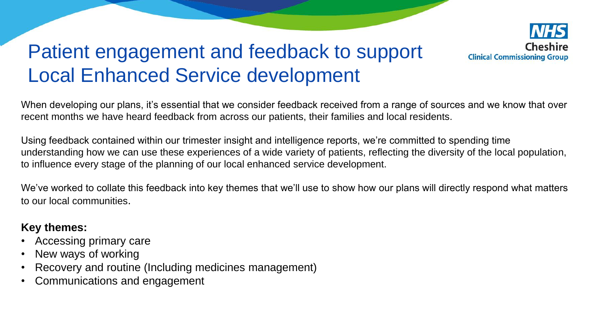

### Patient engagement and feedback to support Local Enhanced Service development

When developing our plans, it's essential that we consider feedback received from a range of sources and we know that over recent months we have heard feedback from across our patients, their families and local residents.

Using feedback contained within our trimester insight and intelligence reports, we're committed to spending time understanding how we can use these experiences of a wide variety of patients, reflecting the diversity of the local population, to influence every stage of the planning of our local enhanced service development.

We've worked to collate this feedback into key themes that we'll use to show how our plans will directly respond what matters to our local communities.

### **Key themes:**

- Accessing primary care
- New ways of working
- Recovery and routine (Including medicines management)
- Communications and engagement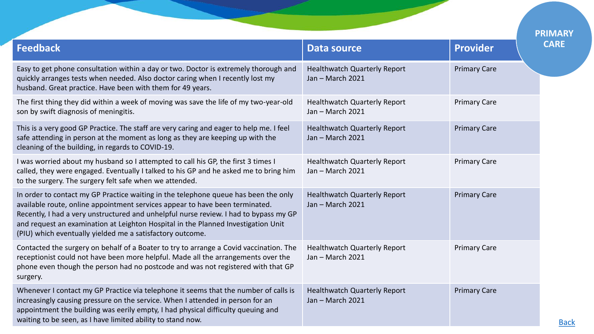<span id="page-4-0"></span>

|                                                                                                                                                                                                                                                                                                                                                                                                                |                                                         |                     | <b>PRIMARY</b> |
|----------------------------------------------------------------------------------------------------------------------------------------------------------------------------------------------------------------------------------------------------------------------------------------------------------------------------------------------------------------------------------------------------------------|---------------------------------------------------------|---------------------|----------------|
| <b>Feedback</b>                                                                                                                                                                                                                                                                                                                                                                                                | <b>Data source</b>                                      | <b>Provider</b>     | <b>CARE</b>    |
| Easy to get phone consultation within a day or two. Doctor is extremely thorough and<br>quickly arranges tests when needed. Also doctor caring when I recently lost my<br>husband. Great practice. Have been with them for 49 years.                                                                                                                                                                           | <b>Healthwatch Quarterly Report</b><br>Jan - March 2021 | <b>Primary Care</b> |                |
| The first thing they did within a week of moving was save the life of my two-year-old<br>son by swift diagnosis of meningitis.                                                                                                                                                                                                                                                                                 | <b>Healthwatch Quarterly Report</b><br>Jan - March 2021 | <b>Primary Care</b> |                |
| This is a very good GP Practice. The staff are very caring and eager to help me. I feel<br>safe attending in person at the moment as long as they are keeping up with the<br>cleaning of the building, in regards to COVID-19.                                                                                                                                                                                 | <b>Healthwatch Quarterly Report</b><br>Jan - March 2021 | <b>Primary Care</b> |                |
| I was worried about my husband so I attempted to call his GP, the first 3 times I<br>called, they were engaged. Eventually I talked to his GP and he asked me to bring him<br>to the surgery. The surgery felt safe when we attended.                                                                                                                                                                          | <b>Healthwatch Quarterly Report</b><br>Jan - March 2021 | <b>Primary Care</b> |                |
| In order to contact my GP Practice waiting in the telephone queue has been the only<br>available route, online appointment services appear to have been terminated.<br>Recently, I had a very unstructured and unhelpful nurse review. I had to bypass my GP<br>and request an examination at Leighton Hospital in the Planned Investigation Unit<br>(PIU) which eventually yielded me a satisfactory outcome. | <b>Healthwatch Quarterly Report</b><br>Jan - March 2021 | <b>Primary Care</b> |                |
| Contacted the surgery on behalf of a Boater to try to arrange a Covid vaccination. The<br>receptionist could not have been more helpful. Made all the arrangements over the<br>phone even though the person had no postcode and was not registered with that GP<br>surgery.                                                                                                                                    | <b>Healthwatch Quarterly Report</b><br>Jan - March 2021 | <b>Primary Care</b> |                |
| Whenever I contact my GP Practice via telephone it seems that the number of calls is<br>increasingly causing pressure on the service. When I attended in person for an<br>appointment the building was eerily empty, I had physical difficulty queuing and<br>waiting to be seen, as I have limited ability to stand now.                                                                                      | <b>Healthwatch Quarterly Report</b><br>Jan - March 2021 | <b>Primary Care</b> |                |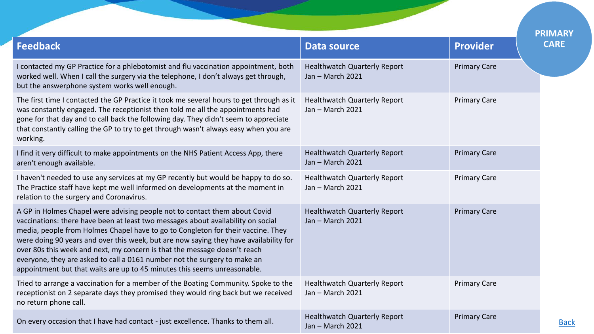|                                                                                                                                                                                                                                                                                                                                                                                                                                                                                                                                                                                   |                                                         |                     | <b>PRIMARY</b> |
|-----------------------------------------------------------------------------------------------------------------------------------------------------------------------------------------------------------------------------------------------------------------------------------------------------------------------------------------------------------------------------------------------------------------------------------------------------------------------------------------------------------------------------------------------------------------------------------|---------------------------------------------------------|---------------------|----------------|
| <b>Feedback</b>                                                                                                                                                                                                                                                                                                                                                                                                                                                                                                                                                                   | <b>Data source</b>                                      | <b>Provider</b>     | <b>CARE</b>    |
| I contacted my GP Practice for a phlebotomist and flu vaccination appointment, both<br>worked well. When I call the surgery via the telephone, I don't always get through,<br>but the answerphone system works well enough.                                                                                                                                                                                                                                                                                                                                                       | <b>Healthwatch Quarterly Report</b><br>Jan - March 2021 | <b>Primary Care</b> |                |
| The first time I contacted the GP Practice it took me several hours to get through as it<br>was constantly engaged. The receptionist then told me all the appointments had<br>gone for that day and to call back the following day. They didn't seem to appreciate<br>that constantly calling the GP to try to get through wasn't always easy when you are<br>working.                                                                                                                                                                                                            | <b>Healthwatch Quarterly Report</b><br>Jan - March 2021 | <b>Primary Care</b> |                |
| I find it very difficult to make appointments on the NHS Patient Access App, there<br>aren't enough available.                                                                                                                                                                                                                                                                                                                                                                                                                                                                    | <b>Healthwatch Quarterly Report</b><br>Jan - March 2021 | <b>Primary Care</b> |                |
| I haven't needed to use any services at my GP recently but would be happy to do so.<br>The Practice staff have kept me well informed on developments at the moment in<br>relation to the surgery and Coronavirus.                                                                                                                                                                                                                                                                                                                                                                 | <b>Healthwatch Quarterly Report</b><br>Jan - March 2021 | <b>Primary Care</b> |                |
| A GP in Holmes Chapel were advising people not to contact them about Covid<br>vaccinations: there have been at least two messages about availability on social<br>media, people from Holmes Chapel have to go to Congleton for their vaccine. They<br>were doing 90 years and over this week, but are now saying they have availability for<br>over 80s this week and next, my concern is that the message doesn't reach<br>everyone, they are asked to call a 0161 number not the surgery to make an<br>appointment but that waits are up to 45 minutes this seems unreasonable. | <b>Healthwatch Quarterly Report</b><br>Jan - March 2021 | <b>Primary Care</b> |                |
| Tried to arrange a vaccination for a member of the Boating Community. Spoke to the<br>receptionist on 2 separate days they promised they would ring back but we received<br>no return phone call.                                                                                                                                                                                                                                                                                                                                                                                 | <b>Healthwatch Quarterly Report</b><br>Jan - March 2021 | <b>Primary Care</b> |                |
| On every occasion that I have had contact - just excellence. Thanks to them all.                                                                                                                                                                                                                                                                                                                                                                                                                                                                                                  | <b>Healthwatch Quarterly Report</b><br>Jan - March 2021 | <b>Primary Care</b> | <b>Back</b>    |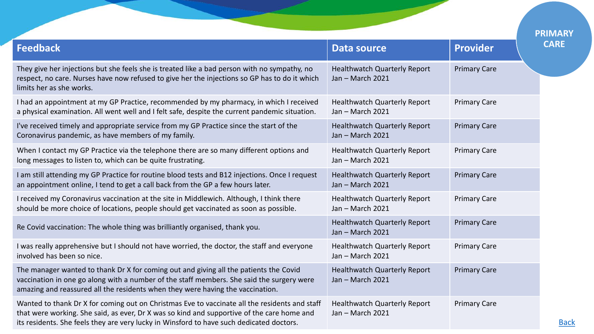|                                                                                                                                                                                                                                                                                         |                                                         |                     | <b>PRIMARY</b> |
|-----------------------------------------------------------------------------------------------------------------------------------------------------------------------------------------------------------------------------------------------------------------------------------------|---------------------------------------------------------|---------------------|----------------|
| <b>Feedback</b>                                                                                                                                                                                                                                                                         | <b>Data source</b>                                      | <b>Provider</b>     | <b>CARE</b>    |
| They give her injections but she feels she is treated like a bad person with no sympathy, no<br>respect, no care. Nurses have now refused to give her the injections so GP has to do it which<br>limits her as she works.                                                               | <b>Healthwatch Quarterly Report</b><br>Jan - March 2021 | <b>Primary Care</b> |                |
| I had an appointment at my GP Practice, recommended by my pharmacy, in which I received<br>a physical examination. All went well and I felt safe, despite the current pandemic situation.                                                                                               | <b>Healthwatch Quarterly Report</b><br>Jan - March 2021 | <b>Primary Care</b> |                |
| I've received timely and appropriate service from my GP Practice since the start of the<br>Coronavirus pandemic, as have members of my family.                                                                                                                                          | <b>Healthwatch Quarterly Report</b><br>Jan - March 2021 | <b>Primary Care</b> |                |
| When I contact my GP Practice via the telephone there are so many different options and<br>long messages to listen to, which can be quite frustrating.                                                                                                                                  | <b>Healthwatch Quarterly Report</b><br>Jan - March 2021 | <b>Primary Care</b> |                |
| I am still attending my GP Practice for routine blood tests and B12 injections. Once I request<br>an appointment online, I tend to get a call back from the GP a few hours later.                                                                                                       | <b>Healthwatch Quarterly Report</b><br>Jan - March 2021 | <b>Primary Care</b> |                |
| I received my Coronavirus vaccination at the site in Middlewich. Although, I think there<br>should be more choice of locations, people should get vaccinated as soon as possible.                                                                                                       | <b>Healthwatch Quarterly Report</b><br>Jan - March 2021 | <b>Primary Care</b> |                |
| Re Covid vaccination: The whole thing was brilliantly organised, thank you.                                                                                                                                                                                                             | <b>Healthwatch Quarterly Report</b><br>Jan - March 2021 | <b>Primary Care</b> |                |
| I was really apprehensive but I should not have worried, the doctor, the staff and everyone<br>involved has been so nice.                                                                                                                                                               | <b>Healthwatch Quarterly Report</b><br>Jan - March 2021 | <b>Primary Care</b> |                |
| The manager wanted to thank Dr X for coming out and giving all the patients the Covid<br>vaccination in one go along with a number of the staff members. She said the surgery were<br>amazing and reassured all the residents when they were having the vaccination.                    | <b>Healthwatch Quarterly Report</b><br>Jan - March 2021 | <b>Primary Care</b> |                |
| Wanted to thank Dr X for coming out on Christmas Eve to vaccinate all the residents and staff<br>that were working. She said, as ever, Dr X was so kind and supportive of the care home and<br>its residents. She feels they are very lucky in Winsford to have such dedicated doctors. | <b>Healthwatch Quarterly Report</b><br>Jan - March 2021 | <b>Primary Care</b> | <b>Back</b>    |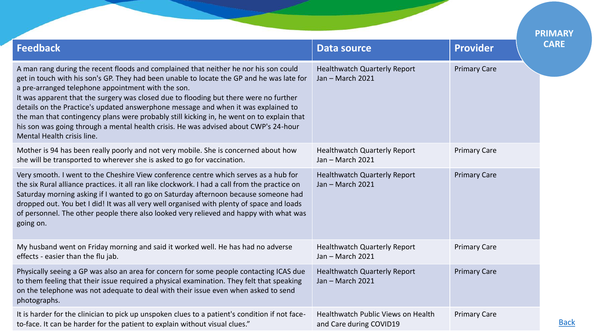|                                                                                                                                                                                                                                                                                                                                                                                                                                                                                                                                                                                                                                           |                                                               |                     | <b>PRIMARY</b> |
|-------------------------------------------------------------------------------------------------------------------------------------------------------------------------------------------------------------------------------------------------------------------------------------------------------------------------------------------------------------------------------------------------------------------------------------------------------------------------------------------------------------------------------------------------------------------------------------------------------------------------------------------|---------------------------------------------------------------|---------------------|----------------|
| <b>Feedback</b>                                                                                                                                                                                                                                                                                                                                                                                                                                                                                                                                                                                                                           | <b>Data source</b>                                            | <b>Provider</b>     | <b>CARE</b>    |
| A man rang during the recent floods and complained that neither he nor his son could<br>get in touch with his son's GP. They had been unable to locate the GP and he was late for<br>a pre-arranged telephone appointment with the son.<br>It was apparent that the surgery was closed due to flooding but there were no further<br>details on the Practice's updated answerphone message and when it was explained to<br>the man that contingency plans were probably still kicking in, he went on to explain that<br>his son was going through a mental health crisis. He was advised about CWP's 24-hour<br>Mental Health crisis line. | <b>Healthwatch Quarterly Report</b><br>Jan - March 2021       | <b>Primary Care</b> |                |
| Mother is 94 has been really poorly and not very mobile. She is concerned about how<br>she will be transported to wherever she is asked to go for vaccination.                                                                                                                                                                                                                                                                                                                                                                                                                                                                            | <b>Healthwatch Quarterly Report</b><br>Jan - March 2021       | <b>Primary Care</b> |                |
| Very smooth. I went to the Cheshire View conference centre which serves as a hub for<br>the six Rural alliance practices. it all ran like clockwork. I had a call from the practice on<br>Saturday morning asking if I wanted to go on Saturday afternoon because someone had<br>dropped out. You bet I did! It was all very well organised with plenty of space and loads<br>of personnel. The other people there also looked very relieved and happy with what was<br>going on.                                                                                                                                                         | <b>Healthwatch Quarterly Report</b><br>Jan - March 2021       | <b>Primary Care</b> |                |
| My husband went on Friday morning and said it worked well. He has had no adverse<br>effects - easier than the flu jab.                                                                                                                                                                                                                                                                                                                                                                                                                                                                                                                    | <b>Healthwatch Quarterly Report</b><br>Jan - March 2021       | <b>Primary Care</b> |                |
| Physically seeing a GP was also an area for concern for some people contacting ICAS due<br>to them feeling that their issue required a physical examination. They felt that speaking<br>on the telephone was not adequate to deal with their issue even when asked to send<br>photographs.                                                                                                                                                                                                                                                                                                                                                | <b>Healthwatch Quarterly Report</b><br>Jan - March 2021       | <b>Primary Care</b> |                |
| It is harder for the clinician to pick up unspoken clues to a patient's condition if not face-<br>to-face. It can be harder for the patient to explain without visual clues."                                                                                                                                                                                                                                                                                                                                                                                                                                                             | Healthwatch Public Views on Health<br>and Care during COVID19 | <b>Primary Care</b> |                |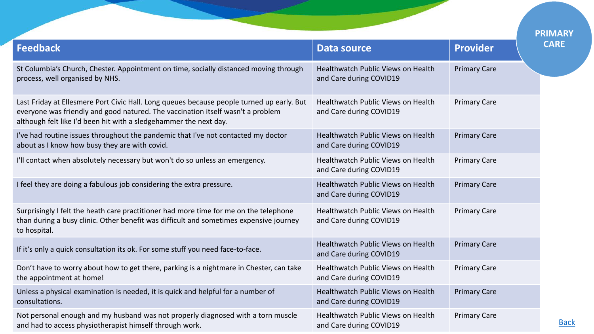|                                                                                                                                                                                                                                                   |                                                               |                     | <b>PRIMARY</b> |
|---------------------------------------------------------------------------------------------------------------------------------------------------------------------------------------------------------------------------------------------------|---------------------------------------------------------------|---------------------|----------------|
| <b>Feedback</b>                                                                                                                                                                                                                                   | <b>Data source</b>                                            | <b>Provider</b>     | <b>CARE</b>    |
| St Columbia's Church, Chester. Appointment on time, socially distanced moving through<br>process, well organised by NHS.                                                                                                                          | Healthwatch Public Views on Health<br>and Care during COVID19 | <b>Primary Care</b> |                |
| Last Friday at Ellesmere Port Civic Hall. Long queues because people turned up early. But<br>everyone was friendly and good natured. The vaccination itself wasn't a problem<br>although felt like I'd been hit with a sledgehammer the next day. | Healthwatch Public Views on Health<br>and Care during COVID19 | <b>Primary Care</b> |                |
| I've had routine issues throughout the pandemic that I've not contacted my doctor<br>about as I know how busy they are with covid.                                                                                                                | Healthwatch Public Views on Health<br>and Care during COVID19 | <b>Primary Care</b> |                |
| I'll contact when absolutely necessary but won't do so unless an emergency.                                                                                                                                                                       | Healthwatch Public Views on Health<br>and Care during COVID19 | <b>Primary Care</b> |                |
| I feel they are doing a fabulous job considering the extra pressure.                                                                                                                                                                              | Healthwatch Public Views on Health<br>and Care during COVID19 | <b>Primary Care</b> |                |
| Surprisingly I felt the heath care practitioner had more time for me on the telephone<br>than during a busy clinic. Other benefit was difficult and sometimes expensive journey<br>to hospital.                                                   | Healthwatch Public Views on Health<br>and Care during COVID19 | <b>Primary Care</b> |                |
| If it's only a quick consultation its ok. For some stuff you need face-to-face.                                                                                                                                                                   | Healthwatch Public Views on Health<br>and Care during COVID19 | <b>Primary Care</b> |                |
| Don't have to worry about how to get there, parking is a nightmare in Chester, can take<br>the appointment at home!                                                                                                                               | Healthwatch Public Views on Health<br>and Care during COVID19 | <b>Primary Care</b> |                |
| Unless a physical examination is needed, it is quick and helpful for a number of<br>consultations.                                                                                                                                                | Healthwatch Public Views on Health<br>and Care during COVID19 | <b>Primary Care</b> |                |
| Not personal enough and my husband was not properly diagnosed with a torn muscle<br>and had to access physiotherapist himself through work.                                                                                                       | Healthwatch Public Views on Health<br>and Care during COVID19 | <b>Primary Care</b> | <b>Back</b>    |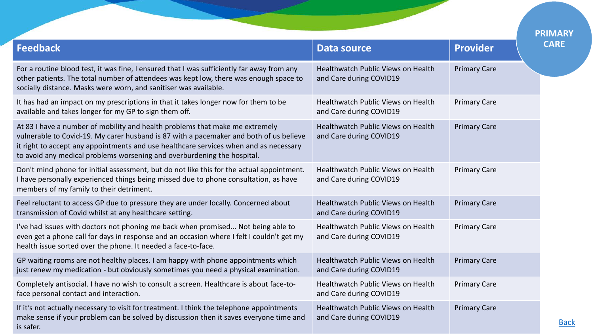|                                                                                                                                                                                                                                                                                                                                            |                                                               |                     | <b>PRIMARY</b><br><b>CARE</b> |
|--------------------------------------------------------------------------------------------------------------------------------------------------------------------------------------------------------------------------------------------------------------------------------------------------------------------------------------------|---------------------------------------------------------------|---------------------|-------------------------------|
| <b>Feedback</b>                                                                                                                                                                                                                                                                                                                            | <b>Data source</b>                                            | <b>Provider</b>     |                               |
| For a routine blood test, it was fine, I ensured that I was sufficiently far away from any<br>other patients. The total number of attendees was kept low, there was enough space to<br>socially distance. Masks were worn, and sanitiser was available.                                                                                    | Healthwatch Public Views on Health<br>and Care during COVID19 | <b>Primary Care</b> |                               |
| It has had an impact on my prescriptions in that it takes longer now for them to be<br>available and takes longer for my GP to sign them off.                                                                                                                                                                                              | Healthwatch Public Views on Health<br>and Care during COVID19 | <b>Primary Care</b> |                               |
| At 83 I have a number of mobility and health problems that make me extremely<br>vulnerable to Covid-19. My carer husband is 87 with a pacemaker and both of us believe<br>it right to accept any appointments and use healthcare services when and as necessary<br>to avoid any medical problems worsening and overburdening the hospital. | Healthwatch Public Views on Health<br>and Care during COVID19 | <b>Primary Care</b> |                               |
| Don't mind phone for initial assessment, but do not like this for the actual appointment.<br>I have personally experienced things being missed due to phone consultation, as have<br>members of my family to their detriment.                                                                                                              | Healthwatch Public Views on Health<br>and Care during COVID19 | <b>Primary Care</b> |                               |
| Feel reluctant to access GP due to pressure they are under locally. Concerned about<br>transmission of Covid whilst at any healthcare setting.                                                                                                                                                                                             | Healthwatch Public Views on Health<br>and Care during COVID19 | <b>Primary Care</b> |                               |
| I've had issues with doctors not phoning me back when promised Not being able to<br>even get a phone call for days in response and an occasion where I felt I couldn't get my<br>health issue sorted over the phone. It needed a face-to-face.                                                                                             | Healthwatch Public Views on Health<br>and Care during COVID19 | <b>Primary Care</b> |                               |
| GP waiting rooms are not healthy places. I am happy with phone appointments which<br>just renew my medication - but obviously sometimes you need a physical examination.                                                                                                                                                                   | Healthwatch Public Views on Health<br>and Care during COVID19 | <b>Primary Care</b> |                               |
| Completely antisocial. I have no wish to consult a screen. Healthcare is about face-to-<br>face personal contact and interaction.                                                                                                                                                                                                          | Healthwatch Public Views on Health<br>and Care during COVID19 | <b>Primary Care</b> |                               |
| If it's not actually necessary to visit for treatment. I think the telephone appointments<br>make sense if your problem can be solved by discussion then it saves everyone time and<br>is safer.                                                                                                                                           | Healthwatch Public Views on Health<br>and Care during COVID19 | <b>Primary Care</b> | <b>Back</b>                   |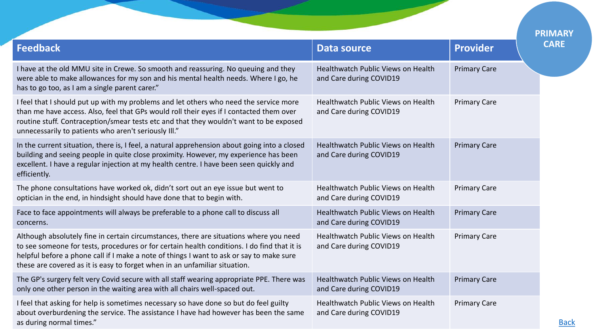|                                                                                                                                                                                                                                                                                                                                                                 |                                                               |                     | <b>PRIMARY</b> |
|-----------------------------------------------------------------------------------------------------------------------------------------------------------------------------------------------------------------------------------------------------------------------------------------------------------------------------------------------------------------|---------------------------------------------------------------|---------------------|----------------|
| <b>Feedback</b>                                                                                                                                                                                                                                                                                                                                                 | <b>Data source</b>                                            | <b>Provider</b>     | <b>CARE</b>    |
| I have at the old MMU site in Crewe. So smooth and reassuring. No queuing and they<br>were able to make allowances for my son and his mental health needs. Where I go, he<br>has to go too, as I am a single parent carer."                                                                                                                                     | Healthwatch Public Views on Health<br>and Care during COVID19 | <b>Primary Care</b> |                |
| I feel that I should put up with my problems and let others who need the service more<br>than me have access. Also, feel that GPs would roll their eyes if I contacted them over<br>routine stuff. Contraception/smear tests etc and that they wouldn't want to be exposed<br>unnecessarily to patients who aren't seriously III."                              | Healthwatch Public Views on Health<br>and Care during COVID19 | <b>Primary Care</b> |                |
| In the current situation, there is, I feel, a natural apprehension about going into a closed<br>building and seeing people in quite close proximity. However, my experience has been<br>excellent. I have a regular injection at my health centre. I have been seen quickly and<br>efficiently.                                                                 | Healthwatch Public Views on Health<br>and Care during COVID19 | <b>Primary Care</b> |                |
| The phone consultations have worked ok, didn't sort out an eye issue but went to<br>optician in the end, in hindsight should have done that to begin with.                                                                                                                                                                                                      | Healthwatch Public Views on Health<br>and Care during COVID19 | <b>Primary Care</b> |                |
| Face to face appointments will always be preferable to a phone call to discuss all<br>concerns.                                                                                                                                                                                                                                                                 | Healthwatch Public Views on Health<br>and Care during COVID19 | <b>Primary Care</b> |                |
| Although absolutely fine in certain circumstances, there are situations where you need<br>to see someone for tests, procedures or for certain health conditions. I do find that it is<br>helpful before a phone call if I make a note of things I want to ask or say to make sure<br>these are covered as it is easy to forget when in an unfamiliar situation. | Healthwatch Public Views on Health<br>and Care during COVID19 | <b>Primary Care</b> |                |
| The GP's surgery felt very Covid secure with all staff wearing appropriate PPE. There was<br>only one other person in the waiting area with all chairs well-spaced out.                                                                                                                                                                                         | Healthwatch Public Views on Health<br>and Care during COVID19 | <b>Primary Care</b> |                |
| I feel that asking for help is sometimes necessary so have done so but do feel guilty<br>about overburdening the service. The assistance I have had however has been the same<br>as during normal times."                                                                                                                                                       | Healthwatch Public Views on Health<br>and Care during COVID19 | <b>Primary Care</b> | <b>Back</b>    |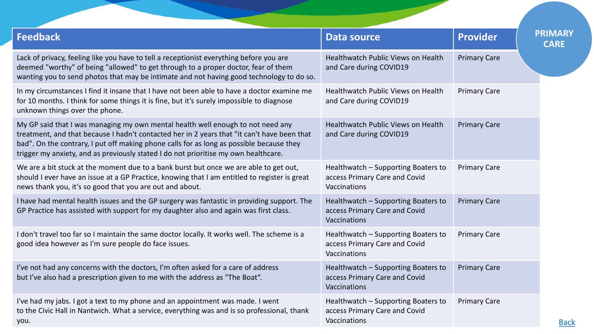| <b>Feedback</b>                                                                                                                                                                                                                                                                                                                                                   | <b>Data source</b>                                                                   | <b>Provider</b>     | <b>PRIMARY</b><br><b>CARE</b> |
|-------------------------------------------------------------------------------------------------------------------------------------------------------------------------------------------------------------------------------------------------------------------------------------------------------------------------------------------------------------------|--------------------------------------------------------------------------------------|---------------------|-------------------------------|
| Lack of privacy, feeling like you have to tell a receptionist everything before you are<br>deemed "worthy" of being "allowed" to get through to a proper doctor, fear of them<br>wanting you to send photos that may be intimate and not having good technology to do so.                                                                                         | Healthwatch Public Views on Health<br>and Care during COVID19                        | <b>Primary Care</b> |                               |
| In my circumstances I find it insane that I have not been able to have a doctor examine me<br>for 10 months. I think for some things it is fine, but it's surely impossible to diagnose<br>unknown things over the phone.                                                                                                                                         | Healthwatch Public Views on Health<br>and Care during COVID19                        | <b>Primary Care</b> |                               |
| My GP said that I was managing my own mental health well enough to not need any<br>treatment, and that because I hadn't contacted her in 2 years that "it can't have been that<br>bad". On the contrary, I put off making phone calls for as long as possible because they<br>trigger my anxiety, and as previously stated I do not prioritise my own healthcare. | Healthwatch Public Views on Health<br>and Care during COVID19                        | <b>Primary Care</b> |                               |
| We are a bit stuck at the moment due to a bank burst but once we are able to get out,<br>should I ever have an issue at a GP Practice, knowing that I am entitled to register is great<br>news thank you, it's so good that you are out and about.                                                                                                                | Healthwatch - Supporting Boaters to<br>access Primary Care and Covid<br>Vaccinations | <b>Primary Care</b> |                               |
| I have had mental health issues and the GP surgery was fantastic in providing support. The<br>GP Practice has assisted with support for my daughter also and again was first class.                                                                                                                                                                               | Healthwatch - Supporting Boaters to<br>access Primary Care and Covid<br>Vaccinations | <b>Primary Care</b> |                               |
| I don't travel too far so I maintain the same doctor locally. It works well. The scheme is a<br>good idea however as I'm sure people do face issues.                                                                                                                                                                                                              | Healthwatch - Supporting Boaters to<br>access Primary Care and Covid<br>Vaccinations | <b>Primary Care</b> |                               |
| I've not had any concerns with the doctors, I'm often asked for a care of address<br>but I've also had a prescription given to me with the address as "The Boat".                                                                                                                                                                                                 | Healthwatch - Supporting Boaters to<br>access Primary Care and Covid<br>Vaccinations | <b>Primary Care</b> |                               |
| I've had my jabs. I got a text to my phone and an appointment was made. I went<br>to the Civic Hall in Nantwich. What a service, everything was and is so professional, thank<br>you.                                                                                                                                                                             | Healthwatch - Supporting Boaters to<br>access Primary Care and Covid<br>Vaccinations | <b>Primary Care</b> | <b>Back</b>                   |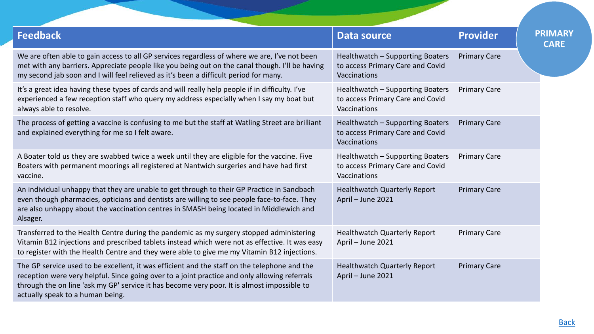| <b>Data source</b>                                                                   | <b>Provider</b>     | <b>PRIMARY</b><br><b>CARE</b> |
|--------------------------------------------------------------------------------------|---------------------|-------------------------------|
| Healthwatch - Supporting Boaters<br>to access Primary Care and Covid<br>Vaccinations | <b>Primary Care</b> |                               |
| Healthwatch - Supporting Boaters<br>to access Primary Care and Covid<br>Vaccinations | <b>Primary Care</b> |                               |
| Healthwatch - Supporting Boaters<br>to access Primary Care and Covid<br>Vaccinations | <b>Primary Care</b> |                               |
| Healthwatch - Supporting Boaters<br>to access Primary Care and Covid<br>Vaccinations | <b>Primary Care</b> |                               |
| <b>Healthwatch Quarterly Report</b><br>April - June 2021                             | <b>Primary Care</b> |                               |
| <b>Healthwatch Quarterly Report</b><br>April - June 2021                             | <b>Primary Care</b> |                               |
| <b>Healthwatch Quarterly Report</b><br>April - June 2021                             | <b>Primary Care</b> |                               |
|                                                                                      |                     |                               |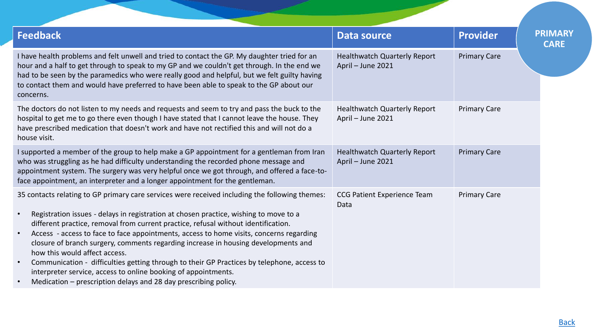| <b>Feedback</b>                                                                                                                                                                                                                                                                                                                                                                                                                                                                                                                                                                                                                                                                                                                                                                        | Data source                                              | <b>Provider</b>     | <b>PRIMARY</b> |
|----------------------------------------------------------------------------------------------------------------------------------------------------------------------------------------------------------------------------------------------------------------------------------------------------------------------------------------------------------------------------------------------------------------------------------------------------------------------------------------------------------------------------------------------------------------------------------------------------------------------------------------------------------------------------------------------------------------------------------------------------------------------------------------|----------------------------------------------------------|---------------------|----------------|
| I have health problems and felt unwell and tried to contact the GP. My daughter tried for an<br>hour and a half to get through to speak to my GP and we couldn't get through. In the end we<br>had to be seen by the paramedics who were really good and helpful, but we felt guilty having<br>to contact them and would have preferred to have been able to speak to the GP about our<br>concerns.                                                                                                                                                                                                                                                                                                                                                                                    | <b>Healthwatch Quarterly Report</b><br>April - June 2021 | <b>Primary Care</b> |                |
| The doctors do not listen to my needs and requests and seem to try and pass the buck to the<br>hospital to get me to go there even though I have stated that I cannot leave the house. They<br>have prescribed medication that doesn't work and have not rectified this and will not do a<br>house visit.                                                                                                                                                                                                                                                                                                                                                                                                                                                                              | <b>Healthwatch Quarterly Report</b><br>April - June 2021 | <b>Primary Care</b> |                |
| I supported a member of the group to help make a GP appointment for a gentleman from Iran<br>who was struggling as he had difficulty understanding the recorded phone message and<br>appointment system. The surgery was very helpful once we got through, and offered a face-to-<br>face appointment, an interpreter and a longer appointment for the gentleman.                                                                                                                                                                                                                                                                                                                                                                                                                      | <b>Healthwatch Quarterly Report</b><br>April - June 2021 | <b>Primary Care</b> |                |
| 35 contacts relating to GP primary care services were received including the following themes:<br>Registration issues - delays in registration at chosen practice, wishing to move to a<br>$\bullet$<br>different practice, removal from current practice, refusal without identification.<br>Access - access to face to face appointments, access to home visits, concerns regarding<br>$\bullet$<br>closure of branch surgery, comments regarding increase in housing developments and<br>how this would affect access.<br>Communication - difficulties getting through to their GP Practices by telephone, access to<br>$\bullet$<br>interpreter service, access to online booking of appointments.<br>Medication – prescription delays and 28 day prescribing policy.<br>$\bullet$ | <b>CCG Patient Experience Team</b><br>Data               | <b>Primary Care</b> |                |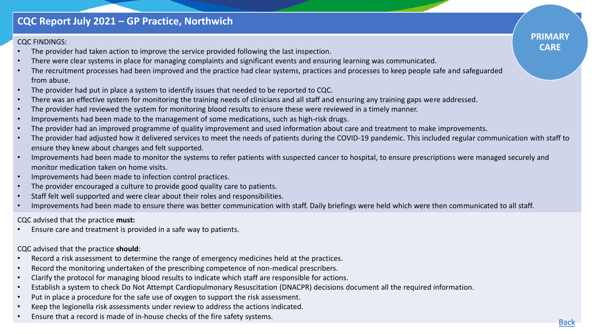### **CQC Report July 2021 – GP Practice, Northwich**

#### CQC FINDINGS:

- The provider had taken action to improve the service provided following the last inspection.
- There were clear systems in place for managing complaints and significant events and ensuring learning was communicated.
- The recruitment processes had been improved and the practice had clear systems, practices and processes to keep people safe and safeguarded from abuse.
- The provider had put in place a system to identify issues that needed to be reported to CQC.
- There was an effective system for monitoring the training needs of clinicians and all staff and ensuring any training gaps were addressed.
- The provider had reviewed the system for monitoring blood results to ensure these were reviewed in a timely manner.
- Improvements had been made to the management of some medications, such as high-risk drugs.
- The provider had an improved programme of quality improvement and used information about care and treatment to make improvements.
- The provider had adjusted how it delivered services to meet the needs of patients during the COVID-19 pandemic. This included regular communication with staff to ensure they knew about changes and felt supported.
- Improvements had been made to monitor the systems to refer patients with suspected cancer to hospital, to ensure prescriptions were managed securely and monitor medication taken on home visits.
- Improvements had been made to infection control practices.
- The provider encouraged a culture to provide good quality care to patients.
- Staff felt well supported and were clear about their roles and responsibilities.
- Improvements had been made to ensure there was better communication with staff. Daily briefings were held which were then communicated to all staff.

CQC advised that the practice **must:**

• Ensure care and treatment is provided in a safe way to patients.

CQC advised that the practice **should**:

- Record a risk assessment to determine the range of emergency medicines held at the practices.
- Record the monitoring undertaken of the prescribing competence of non-medical prescribers.
- Clarify the protocol for managing blood results to indicate which staff are responsible for actions.
- Establish a system to check Do Not Attempt Cardiopulmonary Resuscitation (DNACPR) decisions document all the required information.
- Put in place a procedure for the safe use of oxygen to support the risk assessment.
- Keep the legionella risk assessments under review to address the actions indicated.
- Ensure that a record is made of in-house checks of the fire safety systems.

**PRIMARY CARE**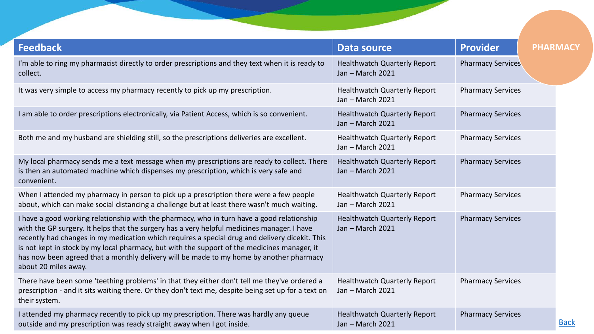<span id="page-15-0"></span>

| <b>Feedback</b>                                                                                                                                                                                                                                                                                                                                                                                                                                                                                                | <b>Data source</b>                                      | <b>Provider</b>          | <b>PHARMACY</b> |
|----------------------------------------------------------------------------------------------------------------------------------------------------------------------------------------------------------------------------------------------------------------------------------------------------------------------------------------------------------------------------------------------------------------------------------------------------------------------------------------------------------------|---------------------------------------------------------|--------------------------|-----------------|
| I'm able to ring my pharmacist directly to order prescriptions and they text when it is ready to<br>collect.                                                                                                                                                                                                                                                                                                                                                                                                   | <b>Healthwatch Quarterly Report</b><br>Jan - March 2021 | <b>Pharmacy Services</b> |                 |
| It was very simple to access my pharmacy recently to pick up my prescription.                                                                                                                                                                                                                                                                                                                                                                                                                                  | <b>Healthwatch Quarterly Report</b><br>Jan - March 2021 | <b>Pharmacy Services</b> |                 |
| I am able to order prescriptions electronically, via Patient Access, which is so convenient.                                                                                                                                                                                                                                                                                                                                                                                                                   | <b>Healthwatch Quarterly Report</b><br>Jan - March 2021 | <b>Pharmacy Services</b> |                 |
| Both me and my husband are shielding still, so the prescriptions deliveries are excellent.                                                                                                                                                                                                                                                                                                                                                                                                                     | <b>Healthwatch Quarterly Report</b><br>Jan - March 2021 | <b>Pharmacy Services</b> |                 |
| My local pharmacy sends me a text message when my prescriptions are ready to collect. There<br>is then an automated machine which dispenses my prescription, which is very safe and<br>convenient.                                                                                                                                                                                                                                                                                                             | <b>Healthwatch Quarterly Report</b><br>Jan - March 2021 | <b>Pharmacy Services</b> |                 |
| When I attended my pharmacy in person to pick up a prescription there were a few people<br>about, which can make social distancing a challenge but at least there wasn't much waiting.                                                                                                                                                                                                                                                                                                                         | <b>Healthwatch Quarterly Report</b><br>Jan - March 2021 | <b>Pharmacy Services</b> |                 |
| I have a good working relationship with the pharmacy, who in turn have a good relationship<br>with the GP surgery. It helps that the surgery has a very helpful medicines manager. I have<br>recently had changes in my medication which requires a special drug and delivery dicekit. This<br>is not kept in stock by my local pharmacy, but with the support of the medicines manager, it<br>has now been agreed that a monthly delivery will be made to my home by another pharmacy<br>about 20 miles away. | <b>Healthwatch Quarterly Report</b><br>Jan - March 2021 | <b>Pharmacy Services</b> |                 |
| There have been some 'teething problems' in that they either don't tell me they've ordered a<br>prescription - and it sits waiting there. Or they don't text me, despite being set up for a text on<br>their system.                                                                                                                                                                                                                                                                                           | <b>Healthwatch Quarterly Report</b><br>Jan - March 2021 | <b>Pharmacy Services</b> |                 |
| I attended my pharmacy recently to pick up my prescription. There was hardly any queue<br>outside and my prescription was ready straight away when I got inside.                                                                                                                                                                                                                                                                                                                                               | <b>Healthwatch Quarterly Report</b><br>Jan - March 2021 | <b>Pharmacy Services</b> | <b>Back</b>     |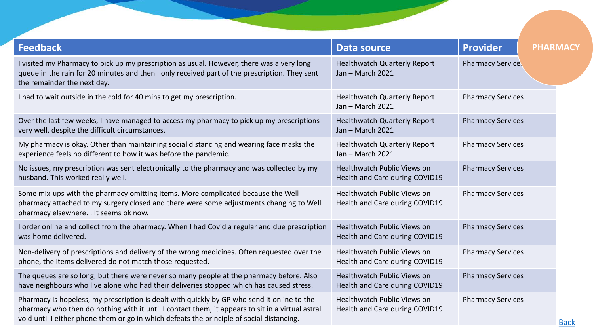| <b>Feedback</b>                                                                                                                                                                                                                                                                              | Data source                                                          | <b>Provider</b>          | <b>PHARMACY</b> |
|----------------------------------------------------------------------------------------------------------------------------------------------------------------------------------------------------------------------------------------------------------------------------------------------|----------------------------------------------------------------------|--------------------------|-----------------|
| I visited my Pharmacy to pick up my prescription as usual. However, there was a very long<br>queue in the rain for 20 minutes and then I only received part of the prescription. They sent<br>the remainder the next day.                                                                    | <b>Healthwatch Quarterly Report</b><br>Jan - March 2021              | <b>Pharmacy Service.</b> |                 |
| I had to wait outside in the cold for 40 mins to get my prescription.                                                                                                                                                                                                                        | <b>Healthwatch Quarterly Report</b><br>Jan - March 2021              | <b>Pharmacy Services</b> |                 |
| Over the last few weeks, I have managed to access my pharmacy to pick up my prescriptions<br>very well, despite the difficult circumstances.                                                                                                                                                 | <b>Healthwatch Quarterly Report</b><br>Jan - March 2021              | <b>Pharmacy Services</b> |                 |
| My pharmacy is okay. Other than maintaining social distancing and wearing face masks the<br>experience feels no different to how it was before the pandemic.                                                                                                                                 | <b>Healthwatch Quarterly Report</b><br>Jan - March 2021              | <b>Pharmacy Services</b> |                 |
| No issues, my prescription was sent electronically to the pharmacy and was collected by my<br>husband. This worked really well.                                                                                                                                                              | <b>Healthwatch Public Views on</b><br>Health and Care during COVID19 | <b>Pharmacy Services</b> |                 |
| Some mix-ups with the pharmacy omitting items. More complicated because the Well<br>pharmacy attached to my surgery closed and there were some adjustments changing to Well<br>pharmacy elsewhere. . It seems ok now.                                                                        | Healthwatch Public Views on<br>Health and Care during COVID19        | <b>Pharmacy Services</b> |                 |
| I order online and collect from the pharmacy. When I had Covid a regular and due prescription<br>was home delivered.                                                                                                                                                                         | <b>Healthwatch Public Views on</b><br>Health and Care during COVID19 | <b>Pharmacy Services</b> |                 |
| Non-delivery of prescriptions and delivery of the wrong medicines. Often requested over the<br>phone, the items delivered do not match those requested.                                                                                                                                      | <b>Healthwatch Public Views on</b><br>Health and Care during COVID19 | <b>Pharmacy Services</b> |                 |
| The queues are so long, but there were never so many people at the pharmacy before. Also<br>have neighbours who live alone who had their deliveries stopped which has caused stress.                                                                                                         | Healthwatch Public Views on<br>Health and Care during COVID19        | <b>Pharmacy Services</b> |                 |
| Pharmacy is hopeless, my prescription is dealt with quickly by GP who send it online to the<br>pharmacy who then do nothing with it until I contact them, it appears to sit in a virtual astral<br>void until I either phone them or go in which defeats the principle of social distancing. | Healthwatch Public Views on<br>Health and Care during COVID19        | <b>Pharmacy Services</b> | <b>Back</b>     |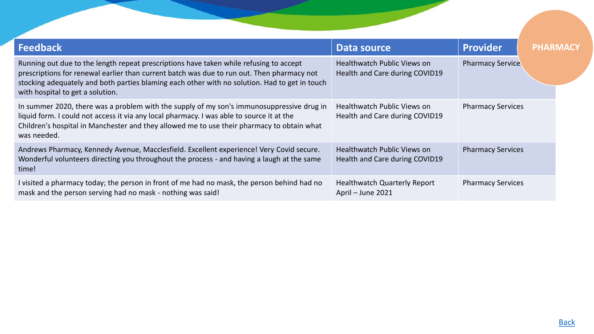| <b>Feedback</b>                                                                                                                                                                                                                                                                                                           | Data source                                                          | <b>Provider</b>          | <b>PHARMACY</b> |
|---------------------------------------------------------------------------------------------------------------------------------------------------------------------------------------------------------------------------------------------------------------------------------------------------------------------------|----------------------------------------------------------------------|--------------------------|-----------------|
| Running out due to the length repeat prescriptions have taken while refusing to accept<br>prescriptions for renewal earlier than current batch was due to run out. Then pharmacy not<br>stocking adequately and both parties blaming each other with no solution. Had to get in touch<br>with hospital to get a solution. | <b>Healthwatch Public Views on</b><br>Health and Care during COVID19 | <b>Pharmacy Service.</b> |                 |
| In summer 2020, there was a problem with the supply of my son's immunosuppressive drug in<br>liquid form. I could not access it via any local pharmacy. I was able to source it at the<br>Children's hospital in Manchester and they allowed me to use their pharmacy to obtain what<br>was needed.                       | <b>Healthwatch Public Views on</b><br>Health and Care during COVID19 | <b>Pharmacy Services</b> |                 |
| Andrews Pharmacy, Kennedy Avenue, Macclesfield. Excellent experience! Very Covid secure.<br>Wonderful volunteers directing you throughout the process - and having a laugh at the same<br>time!                                                                                                                           | <b>Healthwatch Public Views on</b><br>Health and Care during COVID19 | <b>Pharmacy Services</b> |                 |
| I visited a pharmacy today; the person in front of me had no mask, the person behind had no<br>mask and the person serving had no mask - nothing was said!                                                                                                                                                                | <b>Healthwatch Quarterly Report</b><br>April - June 2021             | <b>Pharmacy Services</b> |                 |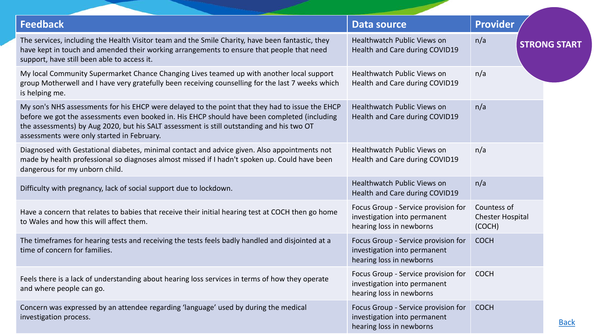<span id="page-18-0"></span>

| <b>Feedback</b>                                                                                                                                                                                                                                                                                                                            | <b>Data source</b>                                                                              | <b>Provider</b>                                  |
|--------------------------------------------------------------------------------------------------------------------------------------------------------------------------------------------------------------------------------------------------------------------------------------------------------------------------------------------|-------------------------------------------------------------------------------------------------|--------------------------------------------------|
| The services, including the Health Visitor team and the Smile Charity, have been fantastic, they<br>have kept in touch and amended their working arrangements to ensure that people that need<br>support, have still been able to access it.                                                                                               | Healthwatch Public Views on<br>Health and Care during COVID19                                   | n/a<br><b>STRONG START</b>                       |
| My local Community Supermarket Chance Changing Lives teamed up with another local support<br>group Motherwell and I have very gratefully been receiving counselling for the last 7 weeks which<br>is helping me.                                                                                                                           | Healthwatch Public Views on<br>Health and Care during COVID19                                   | n/a                                              |
| My son's NHS assessments for his EHCP were delayed to the point that they had to issue the EHCP<br>before we got the assessments even booked in. His EHCP should have been completed (including<br>the assessments) by Aug 2020, but his SALT assessment is still outstanding and his two OT<br>assessments were only started in February. | Healthwatch Public Views on<br>Health and Care during COVID19                                   | n/a                                              |
| Diagnosed with Gestational diabetes, minimal contact and advice given. Also appointments not<br>made by health professional so diagnoses almost missed if I hadn't spoken up. Could have been<br>dangerous for my unborn child.                                                                                                            | Healthwatch Public Views on<br>Health and Care during COVID19                                   | n/a                                              |
| Difficulty with pregnancy, lack of social support due to lockdown.                                                                                                                                                                                                                                                                         | <b>Healthwatch Public Views on</b><br>Health and Care during COVID19                            | n/a                                              |
| Have a concern that relates to babies that receive their initial hearing test at COCH then go home<br>to Wales and how this will affect them.                                                                                                                                                                                              | Focus Group - Service provision for<br>investigation into permanent<br>hearing loss in newborns | Countess of<br><b>Chester Hospital</b><br>(COCH) |
| The timeframes for hearing tests and receiving the tests feels badly handled and disjointed at a<br>time of concern for families.                                                                                                                                                                                                          | Focus Group - Service provision for<br>investigation into permanent<br>hearing loss in newborns | <b>COCH</b>                                      |
| Feels there is a lack of understanding about hearing loss services in terms of how they operate<br>and where people can go.                                                                                                                                                                                                                | Focus Group - Service provision for<br>investigation into permanent<br>hearing loss in newborns | <b>COCH</b>                                      |
| Concern was expressed by an attendee regarding 'language' used by during the medical<br>investigation process.                                                                                                                                                                                                                             | Focus Group - Service provision for<br>investigation into permanent<br>hearing loss in newborns | <b>COCH</b><br><b>Back</b>                       |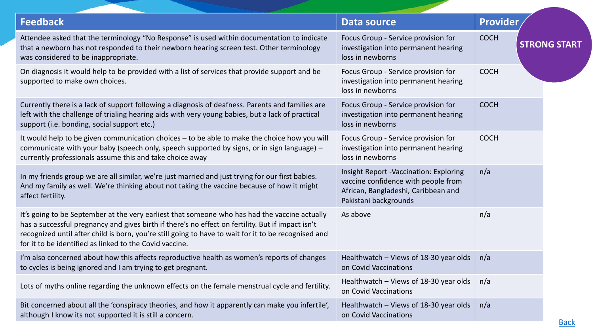| <b>Feedback</b>                                                                                                                                                                                                                                                                                                                                                       | <b>Data source</b>                                                                                                                                   | <b>Provider</b>                    |
|-----------------------------------------------------------------------------------------------------------------------------------------------------------------------------------------------------------------------------------------------------------------------------------------------------------------------------------------------------------------------|------------------------------------------------------------------------------------------------------------------------------------------------------|------------------------------------|
| Attendee asked that the terminology "No Response" is used within documentation to indicate<br>that a newborn has not responded to their newborn hearing screen test. Other terminology<br>was considered to be inappropriate.                                                                                                                                         | Focus Group - Service provision for<br>investigation into permanent hearing<br>loss in newborns                                                      | <b>COCH</b><br><b>STRONG START</b> |
| On diagnosis it would help to be provided with a list of services that provide support and be<br>supported to make own choices.                                                                                                                                                                                                                                       | Focus Group - Service provision for<br>investigation into permanent hearing<br>loss in newborns                                                      | <b>COCH</b>                        |
| Currently there is a lack of support following a diagnosis of deafness. Parents and families are<br>left with the challenge of trialing hearing aids with very young babies, but a lack of practical<br>support (i.e. bonding, social support etc.)                                                                                                                   | Focus Group - Service provision for<br>investigation into permanent hearing<br>loss in newborns                                                      | <b>COCH</b>                        |
| It would help to be given communication choices – to be able to make the choice how you will<br>communicate with your baby (speech only, speech supported by signs, or in sign language) -<br>currently professionals assume this and take choice away                                                                                                                | Focus Group - Service provision for<br>investigation into permanent hearing<br>loss in newborns                                                      | <b>COCH</b>                        |
| In my friends group we are all similar, we're just married and just trying for our first babies.<br>And my family as well. We're thinking about not taking the vaccine because of how it might<br>affect fertility.                                                                                                                                                   | <b>Insight Report -Vaccination: Exploring</b><br>vaccine confidence with people from<br>African, Bangladeshi, Caribbean and<br>Pakistani backgrounds | n/a                                |
| It's going to be September at the very earliest that someone who has had the vaccine actually<br>has a successful pregnancy and gives birth if there's no effect on fertility. But if impact isn't<br>recognized until after child is born, you're still going to have to wait for it to be recognised and<br>for it to be identified as linked to the Covid vaccine. | As above                                                                                                                                             | n/a                                |
| I'm also concerned about how this affects reproductive health as women's reports of changes<br>to cycles is being ignored and I am trying to get pregnant.                                                                                                                                                                                                            | Healthwatch - Views of 18-30 year olds<br>on Covid Vaccinations                                                                                      | n/a                                |
| Lots of myths online regarding the unknown effects on the female menstrual cycle and fertility.                                                                                                                                                                                                                                                                       | Healthwatch - Views of 18-30 year olds<br>on Covid Vaccinations                                                                                      | n/a                                |
| Bit concerned about all the 'conspiracy theories, and how it apparently can make you infertile',<br>although I know its not supported it is still a concern.                                                                                                                                                                                                          | Healthwatch - Views of 18-30 year olds<br>on Covid Vaccinations                                                                                      | n/a<br><b>Back</b>                 |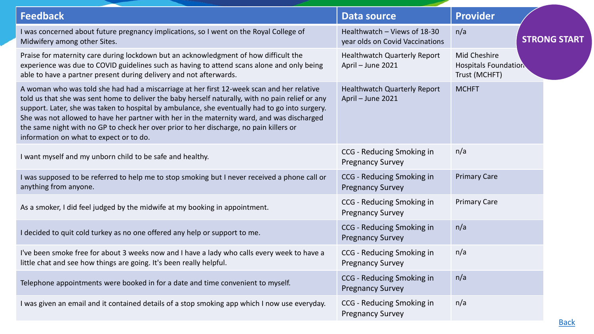| <b>Feedback</b>                                                                                                                                                                                                                                                                                                                                                                                                                                                                                                                    | <b>Data source</b>                                              | <b>Provider</b>                                              |  |
|------------------------------------------------------------------------------------------------------------------------------------------------------------------------------------------------------------------------------------------------------------------------------------------------------------------------------------------------------------------------------------------------------------------------------------------------------------------------------------------------------------------------------------|-----------------------------------------------------------------|--------------------------------------------------------------|--|
| I was concerned about future pregnancy implications, so I went on the Royal College of<br>Midwifery among other Sites.                                                                                                                                                                                                                                                                                                                                                                                                             | Healthwatch - Views of 18-30<br>year olds on Covid Vaccinations | n/a<br><b>STRONG START</b>                                   |  |
| Praise for maternity care during lockdown but an acknowledgment of how difficult the<br>experience was due to COVID guidelines such as having to attend scans alone and only being<br>able to have a partner present during delivery and not afterwards.                                                                                                                                                                                                                                                                           | <b>Healthwatch Quarterly Report</b><br>April - June 2021        | Mid Cheshire<br><b>Hospitals Foundation</b><br>Trust (MCHFT) |  |
| A woman who was told she had had a miscarriage at her first 12-week scan and her relative<br>told us that she was sent home to deliver the baby herself naturally, with no pain relief or any<br>support. Later, she was taken to hospital by ambulance, she eventually had to go into surgery.<br>She was not allowed to have her partner with her in the maternity ward, and was discharged<br>the same night with no GP to check her over prior to her discharge, no pain killers or<br>information on what to expect or to do. | <b>Healthwatch Quarterly Report</b><br>April - June 2021        | <b>MCHFT</b>                                                 |  |
| I want myself and my unborn child to be safe and healthy.                                                                                                                                                                                                                                                                                                                                                                                                                                                                          | CCG - Reducing Smoking in<br><b>Pregnancy Survey</b>            | n/a                                                          |  |
| I was supposed to be referred to help me to stop smoking but I never received a phone call or<br>anything from anyone.                                                                                                                                                                                                                                                                                                                                                                                                             | CCG - Reducing Smoking in<br><b>Pregnancy Survey</b>            | <b>Primary Care</b>                                          |  |
| As a smoker, I did feel judged by the midwife at my booking in appointment.                                                                                                                                                                                                                                                                                                                                                                                                                                                        | CCG - Reducing Smoking in<br><b>Pregnancy Survey</b>            | <b>Primary Care</b>                                          |  |
| I decided to quit cold turkey as no one offered any help or support to me.                                                                                                                                                                                                                                                                                                                                                                                                                                                         | CCG - Reducing Smoking in<br><b>Pregnancy Survey</b>            | n/a                                                          |  |
| I've been smoke free for about 3 weeks now and I have a lady who calls every week to have a<br>little chat and see how things are going. It's been really helpful.                                                                                                                                                                                                                                                                                                                                                                 | CCG - Reducing Smoking in<br><b>Pregnancy Survey</b>            | n/a                                                          |  |
| Telephone appointments were booked in for a date and time convenient to myself.                                                                                                                                                                                                                                                                                                                                                                                                                                                    | CCG - Reducing Smoking in<br><b>Pregnancy Survey</b>            | n/a                                                          |  |
| I was given an email and it contained details of a stop smoking app which I now use everyday.                                                                                                                                                                                                                                                                                                                                                                                                                                      | CCG - Reducing Smoking in<br><b>Pregnancy Survey</b>            | n/a                                                          |  |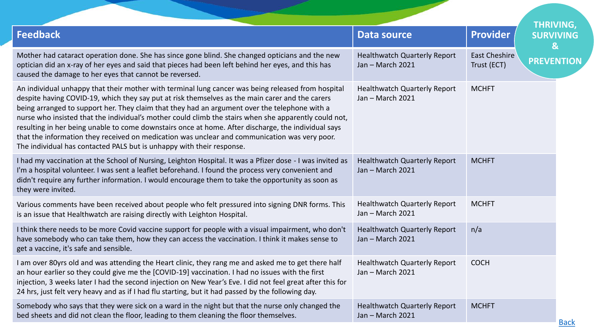<span id="page-21-0"></span>

|                                                                                                                                                                                                                                                                                                                                                                                                                                                                                                                                                                                                                                                                                                  |                                                         |                              | <b>THRIVING,</b>                 |
|--------------------------------------------------------------------------------------------------------------------------------------------------------------------------------------------------------------------------------------------------------------------------------------------------------------------------------------------------------------------------------------------------------------------------------------------------------------------------------------------------------------------------------------------------------------------------------------------------------------------------------------------------------------------------------------------------|---------------------------------------------------------|------------------------------|----------------------------------|
| <b>Feedback</b>                                                                                                                                                                                                                                                                                                                                                                                                                                                                                                                                                                                                                                                                                  | <b>Data source</b>                                      | <b>Provider</b>              | <b>SURVIVING</b><br>$\mathbf{g}$ |
| Mother had cataract operation done. She has since gone blind. She changed opticians and the new<br>optician did an x-ray of her eyes and said that pieces had been left behind her eyes, and this has<br>caused the damage to her eyes that cannot be reversed.                                                                                                                                                                                                                                                                                                                                                                                                                                  | <b>Healthwatch Quarterly Report</b><br>Jan - March 2021 | East Cheshire<br>Trust (ECT) | <b>PREVENTION</b>                |
| An individual unhappy that their mother with terminal lung cancer was being released from hospital<br>despite having COVID-19, which they say put at risk themselves as the main carer and the carers<br>being arranged to support her. They claim that they had an argument over the telephone with a<br>nurse who insisted that the individual's mother could climb the stairs when she apparently could not,<br>resulting in her being unable to come downstairs once at home. After discharge, the individual says<br>that the information they received on medication was unclear and communication was very poor.<br>The individual has contacted PALS but is unhappy with their response. | <b>Healthwatch Quarterly Report</b><br>Jan - March 2021 | <b>MCHFT</b>                 |                                  |
| I had my vaccination at the School of Nursing, Leighton Hospital. It was a Pfizer dose - I was invited as<br>I'm a hospital volunteer. I was sent a leaflet beforehand. I found the process very convenient and<br>didn't require any further information. I would encourage them to take the opportunity as soon as<br>they were invited.                                                                                                                                                                                                                                                                                                                                                       | <b>Healthwatch Quarterly Report</b><br>Jan - March 2021 | <b>MCHFT</b>                 |                                  |
| Various comments have been received about people who felt pressured into signing DNR forms. This<br>is an issue that Healthwatch are raising directly with Leighton Hospital.                                                                                                                                                                                                                                                                                                                                                                                                                                                                                                                    | <b>Healthwatch Quarterly Report</b><br>Jan - March 2021 | <b>MCHFT</b>                 |                                  |
| I think there needs to be more Covid vaccine support for people with a visual impairment, who don't<br>have somebody who can take them, how they can access the vaccination. I think it makes sense to<br>get a vaccine, it's safe and sensible.                                                                                                                                                                                                                                                                                                                                                                                                                                                 | <b>Healthwatch Quarterly Report</b><br>Jan - March 2021 | n/a                          |                                  |
| I am over 80yrs old and was attending the Heart clinic, they rang me and asked me to get there half<br>an hour earlier so they could give me the [COVID-19] vaccination. I had no issues with the first<br>injection, 3 weeks later I had the second injection on New Year's Eve. I did not feel great after this for<br>24 hrs, just felt very heavy and as if I had flu starting, but it had passed by the following day.                                                                                                                                                                                                                                                                      | <b>Healthwatch Quarterly Report</b><br>Jan - March 2021 | <b>COCH</b>                  |                                  |
| Somebody who says that they were sick on a ward in the night but that the nurse only changed the<br>bed sheets and did not clean the floor, leading to them cleaning the floor themselves.                                                                                                                                                                                                                                                                                                                                                                                                                                                                                                       | <b>Healthwatch Quarterly Report</b><br>Jan - March 2021 | <b>MCHFT</b>                 | Doole                            |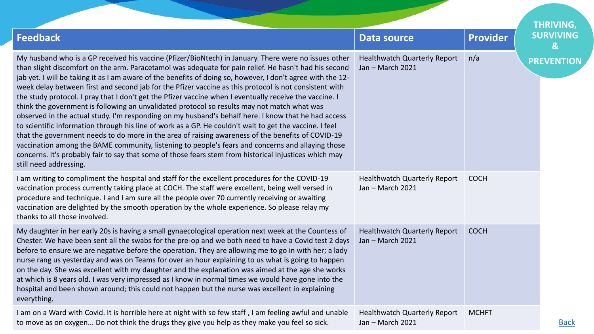|                                                                                                                                                                                                                                                                                                                                                                                                                                                                                                                                                                                                                                                                                                                                                                                                                                                                                                                                                                                                                                                                                                                                                                                                                  |                                                         |                 | <b>THRIVING,</b>      |
|------------------------------------------------------------------------------------------------------------------------------------------------------------------------------------------------------------------------------------------------------------------------------------------------------------------------------------------------------------------------------------------------------------------------------------------------------------------------------------------------------------------------------------------------------------------------------------------------------------------------------------------------------------------------------------------------------------------------------------------------------------------------------------------------------------------------------------------------------------------------------------------------------------------------------------------------------------------------------------------------------------------------------------------------------------------------------------------------------------------------------------------------------------------------------------------------------------------|---------------------------------------------------------|-----------------|-----------------------|
| <b>Feedback</b>                                                                                                                                                                                                                                                                                                                                                                                                                                                                                                                                                                                                                                                                                                                                                                                                                                                                                                                                                                                                                                                                                                                                                                                                  | Data source                                             | <b>Provider</b> | <b>SURVIVING</b><br>& |
| My husband who is a GP received his vaccine (Pfizer/BioNtech) in January. There were no issues other<br>than slight discomfort on the arm. Paracetamol was adequate for pain relief. He hasn't had his second<br>jab yet. I will be taking it as I am aware of the benefits of doing so, however, I don't agree with the 12-<br>week delay between first and second jab for the Pfizer vaccine as this protocol is not consistent with<br>the study protocol. I pray that I don't get the Pfizer vaccine when I eventually receive the vaccine. I<br>think the government is following an unvalidated protocol so results may not match what was<br>observed in the actual study. I'm responding on my husband's behalf here. I know that he had access<br>to scientific information through his line of work as a GP. He couldn't wait to get the vaccine. I feel<br>that the government needs to do more in the area of raising awareness of the benefits of COVID-19<br>vaccination among the BAME community, listening to people's fears and concerns and allaying those<br>concerns. It's probably fair to say that some of those fears stem from historical injustices which may<br>still need addressing. | <b>Healthwatch Quarterly Report</b><br>Jan - March 2021 | n/a             | <b>PREVENTION</b>     |
| I am writing to compliment the hospital and staff for the excellent procedures for the COVID-19<br>vaccination process currently taking place at COCH. The staff were excellent, being well versed in<br>procedure and technique. I and I am sure all the people over 70 currently receiving or awaiting<br>vaccination are delighted by the smooth operation by the whole experience. So please relay my<br>thanks to all those involved.                                                                                                                                                                                                                                                                                                                                                                                                                                                                                                                                                                                                                                                                                                                                                                       | <b>Healthwatch Quarterly Report</b><br>Jan - March 2021 | <b>COCH</b>     |                       |
| My daughter in her early 20s is having a small gynaecological operation next week at the Countess of<br>Chester. We have been sent all the swabs for the pre-op and we both need to have a Covid test 2 days<br>before to ensure we are negative before the operation. They are allowing me to go in with her; a lady<br>nurse rang us yesterday and was on Teams for over an hour explaining to us what is going to happen<br>on the day. She was excellent with my daughter and the explanation was aimed at the age she works<br>at which is 8 years old. I was very impressed as I know in normal times we would have gone into the<br>hospital and been shown around; this could not happen but the nurse was excellent in explaining<br>everything.                                                                                                                                                                                                                                                                                                                                                                                                                                                        | <b>Healthwatch Quarterly Report</b><br>Jan - March 2021 | <b>COCH</b>     |                       |
| I am on a Ward with Covid. It is horrible here at night with so few staff, I am feeling awful and unable<br>to move as on oxygen Do not think the drugs they give you help as they make you feel so sick.                                                                                                                                                                                                                                                                                                                                                                                                                                                                                                                                                                                                                                                                                                                                                                                                                                                                                                                                                                                                        | <b>Healthwatch Quarterly Report</b><br>Jan - March 2021 | <b>MCHFT</b>    | <b>Back</b>           |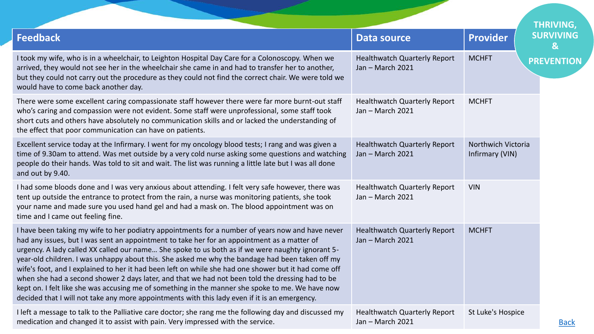|                                                                                                                                                                                                                                                                                                                                                                                                                                                                                                                                                                                                                                                                                                                                                                                                                        |                                                         |                                       | <b>THRIVING,</b>      |
|------------------------------------------------------------------------------------------------------------------------------------------------------------------------------------------------------------------------------------------------------------------------------------------------------------------------------------------------------------------------------------------------------------------------------------------------------------------------------------------------------------------------------------------------------------------------------------------------------------------------------------------------------------------------------------------------------------------------------------------------------------------------------------------------------------------------|---------------------------------------------------------|---------------------------------------|-----------------------|
| <b>Feedback</b>                                                                                                                                                                                                                                                                                                                                                                                                                                                                                                                                                                                                                                                                                                                                                                                                        | <b>Data source</b>                                      | <b>Provider</b>                       | <b>SURVIVING</b><br>& |
| I took my wife, who is in a wheelchair, to Leighton Hospital Day Care for a Colonoscopy. When we<br>arrived, they would not see her in the wheelchair she came in and had to transfer her to another,<br>but they could not carry out the procedure as they could not find the correct chair. We were told we<br>would have to come back another day.                                                                                                                                                                                                                                                                                                                                                                                                                                                                  | <b>Healthwatch Quarterly Report</b><br>Jan - March 2021 | <b>MCHFT</b>                          | <b>PREVENTION</b>     |
| There were some excellent caring compassionate staff however there were far more burnt-out staff<br>who's caring and compassion were not evident. Some staff were unprofessional, some staff took<br>short cuts and others have absolutely no communication skills and or lacked the understanding of<br>the effect that poor communication can have on patients.                                                                                                                                                                                                                                                                                                                                                                                                                                                      | <b>Healthwatch Quarterly Report</b><br>Jan - March 2021 | <b>MCHFT</b>                          |                       |
| Excellent service today at the Infirmary. I went for my oncology blood tests; I rang and was given a<br>time of 9.30am to attend. Was met outside by a very cold nurse asking some questions and watching<br>people do their hands. Was told to sit and wait. The list was running a little late but I was all done<br>and out by 9.40.                                                                                                                                                                                                                                                                                                                                                                                                                                                                                | <b>Healthwatch Quarterly Report</b><br>Jan - March 2021 | Northwich Victoria<br>Infirmary (VIN) |                       |
| I had some bloods done and I was very anxious about attending. I felt very safe however, there was<br>tent up outside the entrance to protect from the rain, a nurse was monitoring patients, she took<br>your name and made sure you used hand gel and had a mask on. The blood appointment was on<br>time and I came out feeling fine.                                                                                                                                                                                                                                                                                                                                                                                                                                                                               | <b>Healthwatch Quarterly Report</b><br>Jan - March 2021 | <b>VIN</b>                            |                       |
| I have been taking my wife to her podiatry appointments for a number of years now and have never<br>had any issues, but I was sent an appointment to take her for an appointment as a matter of<br>urgency. A lady called XX called our name She spoke to us both as if we were naughty ignorant 5-<br>year-old children. I was unhappy about this. She asked me why the bandage had been taken off my<br>wife's foot, and I explained to her it had been left on while she had one shower but it had come off<br>when she had a second shower 2 days later, and that we had not been told the dressing had to be<br>kept on. I felt like she was accusing me of something in the manner she spoke to me. We have now<br>decided that I will not take any more appointments with this lady even if it is an emergency. | <b>Healthwatch Quarterly Report</b><br>Jan - March 2021 | <b>MCHFT</b>                          |                       |
| I left a message to talk to the Palliative care doctor; she rang me the following day and discussed my<br>medication and changed it to assist with pain. Very impressed with the service.                                                                                                                                                                                                                                                                                                                                                                                                                                                                                                                                                                                                                              | <b>Healthwatch Quarterly Report</b><br>Jan - March 2021 | St Luke's Hospice                     | <b>Back</b>           |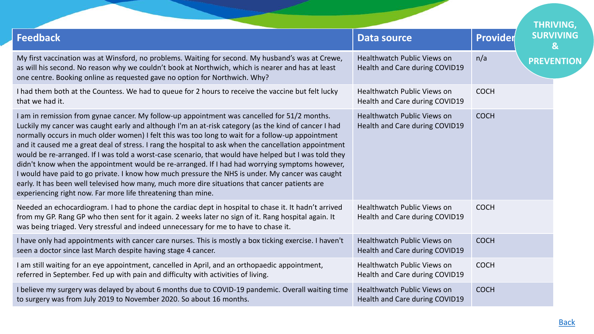|                                                                                                                                                                                                                                                                                                                                                                                                                                                                                                                                                                                                                                                                                                                                                                                                                                                                                                     |                                                                      |             | <b>THRIVING,</b>                   |
|-----------------------------------------------------------------------------------------------------------------------------------------------------------------------------------------------------------------------------------------------------------------------------------------------------------------------------------------------------------------------------------------------------------------------------------------------------------------------------------------------------------------------------------------------------------------------------------------------------------------------------------------------------------------------------------------------------------------------------------------------------------------------------------------------------------------------------------------------------------------------------------------------------|----------------------------------------------------------------------|-------------|------------------------------------|
| <b>Feedback</b>                                                                                                                                                                                                                                                                                                                                                                                                                                                                                                                                                                                                                                                                                                                                                                                                                                                                                     | Data source                                                          | Provider    | <b>SURVIVING</b><br>$\mathbf{g}_1$ |
| My first vaccination was at Winsford, no problems. Waiting for second. My husband's was at Crewe,<br>as will his second. No reason why we couldn't book at Northwich, which is nearer and has at least<br>one centre. Booking online as requested gave no option for Northwich. Why?                                                                                                                                                                                                                                                                                                                                                                                                                                                                                                                                                                                                                | Healthwatch Public Views on<br>Health and Care during COVID19        | n/a         | <b>PREVENTION</b>                  |
| I had them both at the Countess. We had to queue for 2 hours to receive the vaccine but felt lucky<br>that we had it.                                                                                                                                                                                                                                                                                                                                                                                                                                                                                                                                                                                                                                                                                                                                                                               | <b>Healthwatch Public Views on</b><br>Health and Care during COVID19 | <b>COCH</b> |                                    |
| I am in remission from gynae cancer. My follow-up appointment was cancelled for 51/2 months.<br>Luckily my cancer was caught early and although I'm an at-risk category (as the kind of cancer I had<br>normally occurs in much older women) I felt this was too long to wait for a follow-up appointment<br>and it caused me a great deal of stress. I rang the hospital to ask when the cancellation appointment<br>would be re-arranged. If I was told a worst-case scenario, that would have helped but I was told they<br>didn't know when the appointment would be re-arranged. If I had had worrying symptoms however,<br>I would have paid to go private. I know how much pressure the NHS is under. My cancer was caught<br>early. It has been well televised how many, much more dire situations that cancer patients are<br>experiencing right now. Far more life threatening than mine. | <b>Healthwatch Public Views on</b><br>Health and Care during COVID19 | <b>COCH</b> |                                    |
| Needed an echocardiogram. I had to phone the cardiac dept in hospital to chase it. It hadn't arrived<br>from my GP. Rang GP who then sent for it again. 2 weeks later no sign of it. Rang hospital again. It<br>was being triaged. Very stressful and indeed unnecessary for me to have to chase it.                                                                                                                                                                                                                                                                                                                                                                                                                                                                                                                                                                                                | <b>Healthwatch Public Views on</b><br>Health and Care during COVID19 | <b>COCH</b> |                                    |
| I have only had appointments with cancer care nurses. This is mostly a box ticking exercise. I haven't<br>seen a doctor since last March despite having stage 4 cancer.                                                                                                                                                                                                                                                                                                                                                                                                                                                                                                                                                                                                                                                                                                                             | <b>Healthwatch Public Views on</b><br>Health and Care during COVID19 | <b>COCH</b> |                                    |
| I am still waiting for an eye appointment, cancelled in April, and an orthopaedic appointment,<br>referred in September. Fed up with pain and difficulty with activities of living.                                                                                                                                                                                                                                                                                                                                                                                                                                                                                                                                                                                                                                                                                                                 | <b>Healthwatch Public Views on</b><br>Health and Care during COVID19 | <b>COCH</b> |                                    |
| I believe my surgery was delayed by about 6 months due to COVID-19 pandemic. Overall waiting time<br>to surgery was from July 2019 to November 2020. So about 16 months.                                                                                                                                                                                                                                                                                                                                                                                                                                                                                                                                                                                                                                                                                                                            | <b>Healthwatch Public Views on</b><br>Health and Care during COVID19 | <b>COCH</b> |                                    |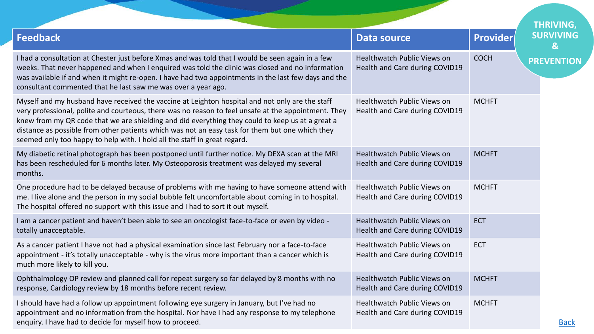|                                                                                                                                                                                                                                                                                                                                                                                                                                                                                             |                                                                      |              | <b>THRIVING,</b>                 |
|---------------------------------------------------------------------------------------------------------------------------------------------------------------------------------------------------------------------------------------------------------------------------------------------------------------------------------------------------------------------------------------------------------------------------------------------------------------------------------------------|----------------------------------------------------------------------|--------------|----------------------------------|
| <b>Feedback</b>                                                                                                                                                                                                                                                                                                                                                                                                                                                                             | <b>Data source</b>                                                   | Provider     | <b>SURVIVING</b><br>$\mathbf{g}$ |
| I had a consultation at Chester just before Xmas and was told that I would be seen again in a few<br>weeks. That never happened and when I enquired was told the clinic was closed and no information<br>was available if and when it might re-open. I have had two appointments in the last few days and the<br>consultant commented that he last saw me was over a year ago.                                                                                                              | <b>Healthwatch Public Views on</b><br>Health and Care during COVID19 | <b>COCH</b>  | <b>PREVENTION</b>                |
| Myself and my husband have received the vaccine at Leighton hospital and not only are the staff<br>very professional, polite and courteous, there was no reason to feel unsafe at the appointment. They<br>knew from my QR code that we are shielding and did everything they could to keep us at a great a<br>distance as possible from other patients which was not an easy task for them but one which they<br>seemed only too happy to help with. I hold all the staff in great regard. | <b>Healthwatch Public Views on</b><br>Health and Care during COVID19 | <b>MCHFT</b> |                                  |
| My diabetic retinal photograph has been postponed until further notice. My DEXA scan at the MRI<br>has been rescheduled for 6 months later. My Osteoporosis treatment was delayed my several<br>months.                                                                                                                                                                                                                                                                                     | <b>Healthwatch Public Views on</b><br>Health and Care during COVID19 | <b>MCHFT</b> |                                  |
| One procedure had to be delayed because of problems with me having to have someone attend with<br>me. I live alone and the person in my social bubble felt uncomfortable about coming in to hospital.<br>The hospital offered no support with this issue and I had to sort it out myself.                                                                                                                                                                                                   | Healthwatch Public Views on<br>Health and Care during COVID19        | <b>MCHFT</b> |                                  |
| I am a cancer patient and haven't been able to see an oncologist face-to-face or even by video -<br>totally unacceptable.                                                                                                                                                                                                                                                                                                                                                                   | <b>Healthwatch Public Views on</b><br>Health and Care during COVID19 | <b>ECT</b>   |                                  |
| As a cancer patient I have not had a physical examination since last February nor a face-to-face<br>appointment - it's totally unacceptable - why is the virus more important than a cancer which is<br>much more likely to kill you.                                                                                                                                                                                                                                                       | <b>Healthwatch Public Views on</b><br>Health and Care during COVID19 | <b>ECT</b>   |                                  |
| Ophthalmology OP review and planned call for repeat surgery so far delayed by 8 months with no<br>response, Cardiology review by 18 months before recent review.                                                                                                                                                                                                                                                                                                                            | <b>Healthwatch Public Views on</b><br>Health and Care during COVID19 | <b>MCHFT</b> |                                  |
| I should have had a follow up appointment following eye surgery in January, but I've had no<br>appointment and no information from the hospital. Nor have I had any response to my telephone<br>enquiry. I have had to decide for myself how to proceed.                                                                                                                                                                                                                                    | Healthwatch Public Views on<br>Health and Care during COVID19        | <b>MCHFT</b> | <b>Back</b>                      |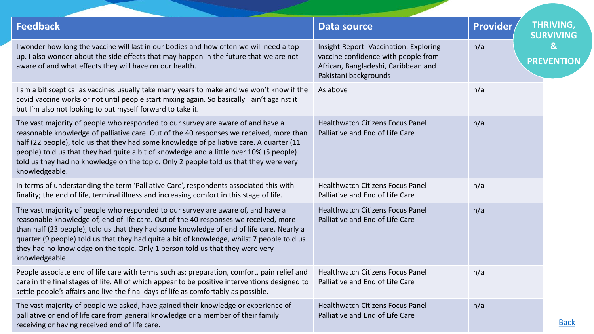| <b>Feedback</b>                                                                                                                                                                                                                                                                                                                                                                                                                                                              | <b>Data source</b>                                                                                                                                   | Provider | <b>THRIVING,</b><br><b>SURVIVING</b> |
|------------------------------------------------------------------------------------------------------------------------------------------------------------------------------------------------------------------------------------------------------------------------------------------------------------------------------------------------------------------------------------------------------------------------------------------------------------------------------|------------------------------------------------------------------------------------------------------------------------------------------------------|----------|--------------------------------------|
| I wonder how long the vaccine will last in our bodies and how often we will need a top<br>up. I also wonder about the side effects that may happen in the future that we are not<br>aware of and what effects they will have on our health.                                                                                                                                                                                                                                  | <b>Insight Report -Vaccination: Exploring</b><br>vaccine confidence with people from<br>African, Bangladeshi, Caribbean and<br>Pakistani backgrounds | n/a      | &<br><b>PREVENTION</b>               |
| I am a bit sceptical as vaccines usually take many years to make and we won't know if the<br>covid vaccine works or not until people start mixing again. So basically I ain't against it<br>but I'm also not looking to put myself forward to take it.                                                                                                                                                                                                                       | As above                                                                                                                                             | n/a      |                                      |
| The vast majority of people who responded to our survey are aware of and have a<br>reasonable knowledge of palliative care. Out of the 40 responses we received, more than<br>half (22 people), told us that they had some knowledge of palliative care. A quarter (11<br>people) told us that they had quite a bit of knowledge and a little over 10% (5 people)<br>told us they had no knowledge on the topic. Only 2 people told us that they were very<br>knowledgeable. | <b>Healthwatch Citizens Focus Panel</b><br>Palliative and End of Life Care                                                                           | n/a      |                                      |
| In terms of understanding the term 'Palliative Care', respondents associated this with<br>finality; the end of life, terminal illness and increasing comfort in this stage of life.                                                                                                                                                                                                                                                                                          | <b>Healthwatch Citizens Focus Panel</b><br>Palliative and End of Life Care                                                                           | n/a      |                                      |
| The vast majority of people who responded to our survey are aware of, and have a<br>reasonable knowledge of, end of life care. Out of the 40 responses we received, more<br>than half (23 people), told us that they had some knowledge of end of life care. Nearly a<br>quarter (9 people) told us that they had quite a bit of knowledge, whilst 7 people told us<br>they had no knowledge on the topic. Only 1 person told us that they were very<br>knowledgeable.       | <b>Healthwatch Citizens Focus Panel</b><br>Palliative and End of Life Care                                                                           | n/a      |                                      |
| People associate end of life care with terms such as; preparation, comfort, pain relief and<br>care in the final stages of life. All of which appear to be positive interventions designed to<br>settle people's affairs and live the final days of life as comfortably as possible.                                                                                                                                                                                         | <b>Healthwatch Citizens Focus Panel</b><br>Palliative and End of Life Care                                                                           | n/a      |                                      |
| The vast majority of people we asked, have gained their knowledge or experience of<br>palliative or end of life care from general knowledge or a member of their family<br>receiving or having received end of life care.                                                                                                                                                                                                                                                    | <b>Healthwatch Citizens Focus Panel</b><br>Palliative and End of Life Care                                                                           | n/a      | <b>Back</b>                          |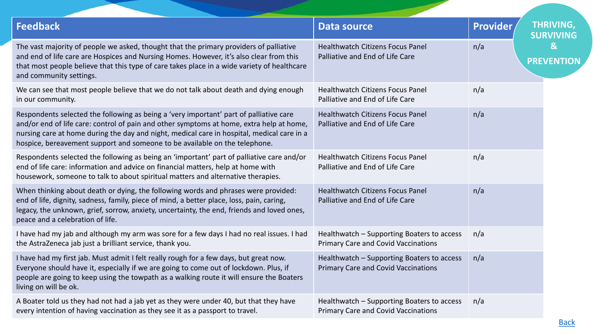| <b>Feedback</b>                                                                                                                                                                                                                                                                                                                                                | <b>Data source</b>                                                                       | <b>Provider</b> | <b>THRIVING,</b><br><b>SURVIVING</b> |
|----------------------------------------------------------------------------------------------------------------------------------------------------------------------------------------------------------------------------------------------------------------------------------------------------------------------------------------------------------------|------------------------------------------------------------------------------------------|-----------------|--------------------------------------|
| The vast majority of people we asked, thought that the primary providers of palliative<br>and end of life care are Hospices and Nursing Homes. However, it's also clear from this<br>that most people believe that this type of care takes place in a wide variety of healthcare<br>and community settings.                                                    | <b>Healthwatch Citizens Focus Panel</b><br>Palliative and End of Life Care               | n/a             | &<br><b>PREVENTION</b>               |
| We can see that most people believe that we do not talk about death and dying enough<br>in our community.                                                                                                                                                                                                                                                      | <b>Healthwatch Citizens Focus Panel</b><br>Palliative and End of Life Care               | n/a             |                                      |
| Respondents selected the following as being a 'very important' part of palliative care<br>and/or end of life care: control of pain and other symptoms at home, extra help at home,<br>nursing care at home during the day and night, medical care in hospital, medical care in a<br>hospice, bereavement support and someone to be available on the telephone. | <b>Healthwatch Citizens Focus Panel</b><br>Palliative and End of Life Care               | n/a             |                                      |
| Respondents selected the following as being an 'important' part of palliative care and/or<br>end of life care: information and advice on financial matters, help at home with<br>housework, someone to talk to about spiritual matters and alternative therapies.                                                                                              | <b>Healthwatch Citizens Focus Panel</b><br>Palliative and End of Life Care               | n/a             |                                      |
| When thinking about death or dying, the following words and phrases were provided:<br>end of life, dignity, sadness, family, piece of mind, a better place, loss, pain, caring,<br>legacy, the unknown, grief, sorrow, anxiety, uncertainty, the end, friends and loved ones,<br>peace and a celebration of life.                                              | <b>Healthwatch Citizens Focus Panel</b><br>Palliative and End of Life Care               | n/a             |                                      |
| I have had my jab and although my arm was sore for a few days I had no real issues. I had<br>the AstraZeneca jab just a brilliant service, thank you.                                                                                                                                                                                                          | Healthwatch - Supporting Boaters to access<br><b>Primary Care and Covid Vaccinations</b> | n/a             |                                      |
| I have had my first jab. Must admit I felt really rough for a few days, but great now.<br>Everyone should have it, especially if we are going to come out of lockdown. Plus, if<br>people are going to keep using the towpath as a walking route it will ensure the Boaters<br>living on will be ok.                                                           | Healthwatch - Supporting Boaters to access<br><b>Primary Care and Covid Vaccinations</b> | n/a             |                                      |
| A Boater told us they had not had a jab yet as they were under 40, but that they have<br>every intention of having vaccination as they see it as a passport to travel.                                                                                                                                                                                         | Healthwatch - Supporting Boaters to access<br><b>Primary Care and Covid Vaccinations</b> | n/a             |                                      |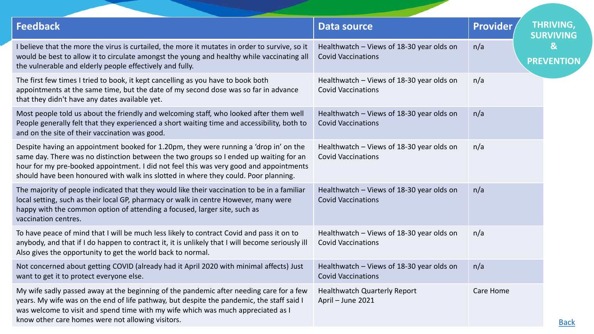| <b>Feedback</b>                                                                                                                                                                                                                                                                                                                                                  | <b>Data source</b>                                                     | <b>Provider</b> | <b>THRIVING,</b><br><b>SURVIVING</b> |
|------------------------------------------------------------------------------------------------------------------------------------------------------------------------------------------------------------------------------------------------------------------------------------------------------------------------------------------------------------------|------------------------------------------------------------------------|-----------------|--------------------------------------|
| I believe that the more the virus is curtailed, the more it mutates in order to survive, so it<br>would be best to allow it to circulate amongst the young and healthy while vaccinating all<br>the vulnerable and elderly people effectively and fully.                                                                                                         | Healthwatch - Views of 18-30 year olds on<br><b>Covid Vaccinations</b> | n/a             | $\mathbf{g}$<br><b>PREVENTION</b>    |
| The first few times I tried to book, it kept cancelling as you have to book both<br>appointments at the same time, but the date of my second dose was so far in advance<br>that they didn't have any dates available yet.                                                                                                                                        | Healthwatch - Views of 18-30 year olds on<br><b>Covid Vaccinations</b> | n/a             |                                      |
| Most people told us about the friendly and welcoming staff, who looked after them well<br>People generally felt that they experienced a short waiting time and accessibility, both to<br>and on the site of their vaccination was good.                                                                                                                          | Healthwatch - Views of 18-30 year olds on<br><b>Covid Vaccinations</b> | n/a             |                                      |
| Despite having an appointment booked for 1.20pm, they were running a 'drop in' on the<br>same day. There was no distinction between the two groups so I ended up waiting for an<br>hour for my pre-booked appointment. I did not feel this was very good and appointments<br>should have been honoured with walk ins slotted in where they could. Poor planning. | Healthwatch - Views of 18-30 year olds on<br><b>Covid Vaccinations</b> | n/a             |                                      |
| The majority of people indicated that they would like their vaccination to be in a familiar<br>local setting, such as their local GP, pharmacy or walk in centre However, many were<br>happy with the common option of attending a focused, larger site, such as<br>vaccination centres.                                                                         | Healthwatch - Views of 18-30 year olds on<br><b>Covid Vaccinations</b> | n/a             |                                      |
| To have peace of mind that I will be much less likely to contract Covid and pass it on to<br>anybody, and that if I do happen to contract it, it is unlikely that I will become seriously ill<br>Also gives the opportunity to get the world back to normal.                                                                                                     | Healthwatch - Views of 18-30 year olds on<br><b>Covid Vaccinations</b> | n/a             |                                      |
| Not concerned about getting COVID (already had it April 2020 with minimal affects) Just<br>want to get it to protect everyone else.                                                                                                                                                                                                                              | Healthwatch - Views of 18-30 year olds on<br><b>Covid Vaccinations</b> | n/a             |                                      |
| My wife sadly passed away at the beginning of the pandemic after needing care for a few<br>years. My wife was on the end of life pathway, but despite the pandemic, the staff said I<br>was welcome to visit and spend time with my wife which was much appreciated as I<br>know other care homes were not allowing visitors.                                    | <b>Healthwatch Quarterly Report</b><br>April - June 2021               | Care Home       | <b>Back</b>                          |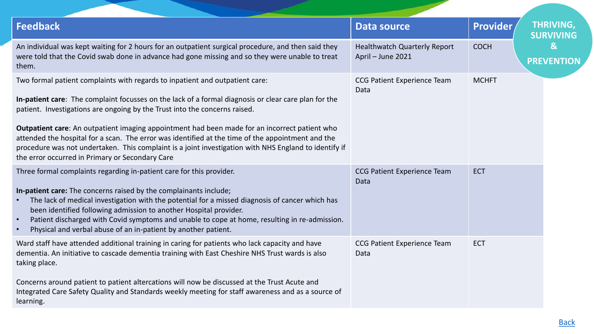| <b>Feedback</b>                                                                                                                                                                                                                                                                                                                                                                                                                                                                                                                                                                                                                      | <b>Data source</b>                                       | <b>Provider</b> | <b>THRIVING,</b><br><b>SURVIVING</b> |
|--------------------------------------------------------------------------------------------------------------------------------------------------------------------------------------------------------------------------------------------------------------------------------------------------------------------------------------------------------------------------------------------------------------------------------------------------------------------------------------------------------------------------------------------------------------------------------------------------------------------------------------|----------------------------------------------------------|-----------------|--------------------------------------|
| An individual was kept waiting for 2 hours for an outpatient surgical procedure, and then said they<br>were told that the Covid swab done in advance had gone missing and so they were unable to treat<br>them.                                                                                                                                                                                                                                                                                                                                                                                                                      | <b>Healthwatch Quarterly Report</b><br>April - June 2021 | <b>COCH</b>     | $\mathbf{g}$<br><b>PREVENTION</b>    |
| Two formal patient complaints with regards to inpatient and outpatient care:<br>In-patient care: The complaint focusses on the lack of a formal diagnosis or clear care plan for the<br>patient. Investigations are ongoing by the Trust into the concerns raised.<br>Outpatient care: An outpatient imaging appointment had been made for an incorrect patient who<br>attended the hospital for a scan. The error was identified at the time of the appointment and the<br>procedure was not undertaken. This complaint is a joint investigation with NHS England to identify if<br>the error occurred in Primary or Secondary Care | <b>CCG Patient Experience Team</b><br>Data               | <b>MCHFT</b>    |                                      |
| Three formal complaints regarding in-patient care for this provider.<br>In-patient care: The concerns raised by the complainants include;<br>The lack of medical investigation with the potential for a missed diagnosis of cancer which has<br>been identified following admission to another Hospital provider.<br>Patient discharged with Covid symptoms and unable to cope at home, resulting in re-admission.<br>Physical and verbal abuse of an in-patient by another patient.                                                                                                                                                 | <b>CCG Patient Experience Team</b><br>Data               | <b>ECT</b>      |                                      |
| Ward staff have attended additional training in caring for patients who lack capacity and have<br>dementia. An initiative to cascade dementia training with East Cheshire NHS Trust wards is also<br>taking place.<br>Concerns around patient to patient altercations will now be discussed at the Trust Acute and<br>Integrated Care Safety Quality and Standards weekly meeting for staff awareness and as a source of<br>learning.                                                                                                                                                                                                | <b>CCG Patient Experience Team</b><br>Data               | <b>ECT</b>      |                                      |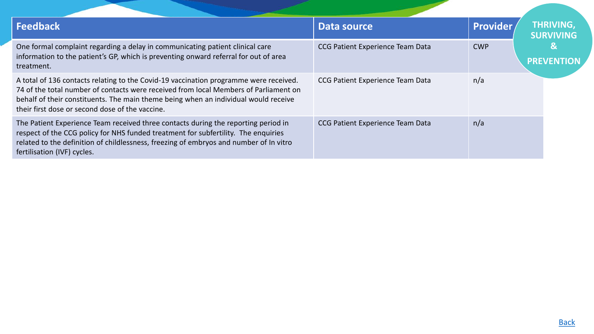| <b>Feedback</b>                                                                                                                                                                                                                                                                                                         | Data source                      | <b>Provider</b> | <b>THRIVING,</b><br><b>SURVIVING</b> |
|-------------------------------------------------------------------------------------------------------------------------------------------------------------------------------------------------------------------------------------------------------------------------------------------------------------------------|----------------------------------|-----------------|--------------------------------------|
| One formal complaint regarding a delay in communicating patient clinical care<br>information to the patient's GP, which is preventing onward referral for out of area<br>treatment.                                                                                                                                     | CCG Patient Experience Team Data | <b>CWP</b>      | &                                    |
| A total of 136 contacts relating to the Covid-19 vaccination programme were received.<br>74 of the total number of contacts were received from local Members of Parliament on<br>behalf of their constituents. The main theme being when an individual would receive<br>their first dose or second dose of the vaccine. | CCG Patient Experience Team Data | n/a             |                                      |
| The Patient Experience Team received three contacts during the reporting period in<br>respect of the CCG policy for NHS funded treatment for subfertility. The enquiries<br>related to the definition of childlessness, freezing of embryos and number of Invitro<br>fertilisation (IVF) cycles.                        | CCG Patient Experience Team Data | n/a             |                                      |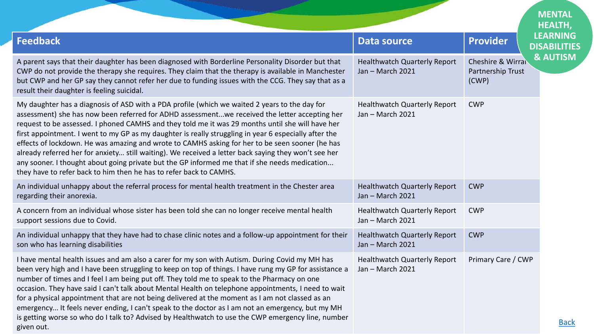<span id="page-31-0"></span>

|                                                                                                                                                                                                                                                                                                                                                                                                                                                                                                                                                                                                                                                                                                                                                                                               |                                                         | <b>MENTAL</b><br><b>HEALTH,</b>                                        |             |
|-----------------------------------------------------------------------------------------------------------------------------------------------------------------------------------------------------------------------------------------------------------------------------------------------------------------------------------------------------------------------------------------------------------------------------------------------------------------------------------------------------------------------------------------------------------------------------------------------------------------------------------------------------------------------------------------------------------------------------------------------------------------------------------------------|---------------------------------------------------------|------------------------------------------------------------------------|-------------|
| <b>Feedback</b>                                                                                                                                                                                                                                                                                                                                                                                                                                                                                                                                                                                                                                                                                                                                                                               | <b>Data source</b>                                      | <b>LEARNING</b><br><b>Provider</b><br><b>DISABILITIES</b>              |             |
| A parent says that their daughter has been diagnosed with Borderline Personality Disorder but that<br>CWP do not provide the therapy she requires. They claim that the therapy is available in Manchester<br>but CWP and her GP say they cannot refer her due to funding issues with the CCG. They say that as a<br>result their daughter is feeling suicidal.                                                                                                                                                                                                                                                                                                                                                                                                                                | <b>Healthwatch Quarterly Report</b><br>Jan - March 2021 | <b>&amp; AUTISM</b><br>Cheshire & Wirral<br>Partnership Trust<br>(CWP) |             |
| My daughter has a diagnosis of ASD with a PDA profile (which we waited 2 years to the day for<br>assessment) she has now been referred for ADHD assessmentwe received the letter accepting her<br>request to be assessed. I phoned CAMHS and they told me it was 29 months until she will have her<br>first appointment. I went to my GP as my daughter is really struggling in year 6 especially after the<br>effects of lockdown. He was amazing and wrote to CAMHS asking for her to be seen sooner (he has<br>already referred her for anxiety still waiting). We received a letter back saying they won't see her<br>any sooner. I thought about going private but the GP informed me that if she needs medication<br>they have to refer back to him then he has to refer back to CAMHS. | <b>Healthwatch Quarterly Report</b><br>Jan - March 2021 | <b>CWP</b>                                                             |             |
| An individual unhappy about the referral process for mental health treatment in the Chester area<br>regarding their anorexia.                                                                                                                                                                                                                                                                                                                                                                                                                                                                                                                                                                                                                                                                 | <b>Healthwatch Quarterly Report</b><br>Jan - March 2021 | <b>CWP</b>                                                             |             |
| A concern from an individual whose sister has been told she can no longer receive mental health<br>support sessions due to Covid.                                                                                                                                                                                                                                                                                                                                                                                                                                                                                                                                                                                                                                                             | <b>Healthwatch Quarterly Report</b><br>Jan - March 2021 | <b>CWP</b>                                                             |             |
| An individual unhappy that they have had to chase clinic notes and a follow-up appointment for their<br>son who has learning disabilities                                                                                                                                                                                                                                                                                                                                                                                                                                                                                                                                                                                                                                                     | <b>Healthwatch Quarterly Report</b><br>Jan - March 2021 | <b>CWP</b>                                                             |             |
| I have mental health issues and am also a carer for my son with Autism. During Covid my MH has<br>been very high and I have been struggling to keep on top of things. I have rung my GP for assistance a<br>number of times and I feel I am being put off. They told me to speak to the Pharmacy on one<br>occasion. They have said I can't talk about Mental Health on telephone appointments, I need to wait<br>for a physical appointment that are not being delivered at the moment as I am not classed as an<br>emergency It feels never ending, I can't speak to the doctor as I am not an emergency, but my MH<br>is getting worse so who do I talk to? Advised by Healthwatch to use the CWP emergency line, number<br>given out.                                                     | <b>Healthwatch Quarterly Report</b><br>Jan - March 2021 | Primary Care / CWP                                                     | <b>Back</b> |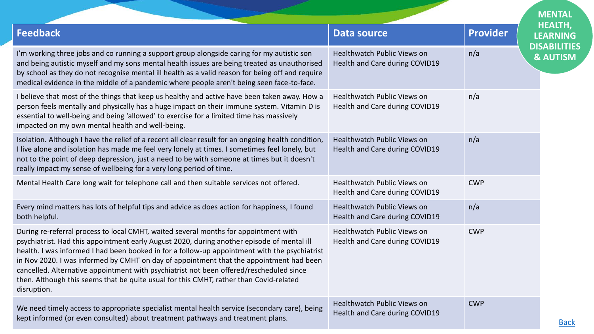| <b>Feedback</b>                                                                                                                                                                                                                                                                                                                                                                                                                                                                                                                                                                    | <b>Data source</b>                                                   | <b>Provider</b><br><b>LEARNING</b>                |
|------------------------------------------------------------------------------------------------------------------------------------------------------------------------------------------------------------------------------------------------------------------------------------------------------------------------------------------------------------------------------------------------------------------------------------------------------------------------------------------------------------------------------------------------------------------------------------|----------------------------------------------------------------------|---------------------------------------------------|
| I'm working three jobs and co running a support group alongside caring for my autistic son<br>and being autistic myself and my sons mental health issues are being treated as unauthorised<br>by school as they do not recognise mental ill health as a valid reason for being off and require<br>medical evidence in the middle of a pandemic where people aren't being seen face-to-face.                                                                                                                                                                                        | <b>Healthwatch Public Views on</b><br>Health and Care during COVID19 | <b>DISABILITIES</b><br>n/a<br><b>&amp; AUTISM</b> |
| I believe that most of the things that keep us healthy and active have been taken away. How a<br>person feels mentally and physically has a huge impact on their immune system. Vitamin D is<br>essential to well-being and being 'allowed' to exercise for a limited time has massively<br>impacted on my own mental health and well-being.                                                                                                                                                                                                                                       | Healthwatch Public Views on<br>Health and Care during COVID19        | n/a                                               |
| Isolation. Although I have the relief of a recent all clear result for an ongoing health condition,<br>I live alone and isolation has made me feel very lonely at times. I sometimes feel lonely, but<br>not to the point of deep depression, just a need to be with someone at times but it doesn't<br>really impact my sense of wellbeing for a very long period of time.                                                                                                                                                                                                        | <b>Healthwatch Public Views on</b><br>Health and Care during COVID19 | n/a                                               |
| Mental Health Care long wait for telephone call and then suitable services not offered.                                                                                                                                                                                                                                                                                                                                                                                                                                                                                            | <b>Healthwatch Public Views on</b><br>Health and Care during COVID19 | <b>CWP</b>                                        |
| Every mind matters has lots of helpful tips and advice as does action for happiness, I found<br>both helpful.                                                                                                                                                                                                                                                                                                                                                                                                                                                                      | Healthwatch Public Views on<br>Health and Care during COVID19        | n/a                                               |
| During re-referral process to local CMHT, waited several months for appointment with<br>psychiatrist. Had this appointment early August 2020, during another episode of mental ill<br>health. I was informed I had been booked in for a follow-up appointment with the psychiatrist<br>in Nov 2020. I was informed by CMHT on day of appointment that the appointment had been<br>cancelled. Alternative appointment with psychiatrist not been offered/rescheduled since<br>then. Although this seems that be quite usual for this CMHT, rather than Covid-related<br>disruption. | <b>Healthwatch Public Views on</b><br>Health and Care during COVID19 | <b>CWP</b>                                        |
| We need timely access to appropriate specialist mental health service (secondary care), being<br>kept informed (or even consulted) about treatment pathways and treatment plans.                                                                                                                                                                                                                                                                                                                                                                                                   | <b>Healthwatch Public Views on</b><br>Health and Care during COVID19 | <b>CWP</b>                                        |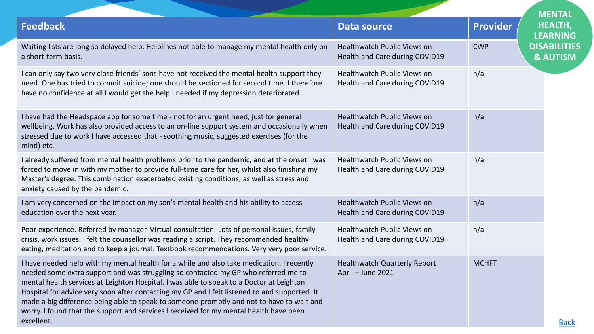|                                                                                                                                                                                                                                                                                                                                                                                                                                                                                                                                                                                   |                                                               |                 | <b>MENTAL</b>                              |
|-----------------------------------------------------------------------------------------------------------------------------------------------------------------------------------------------------------------------------------------------------------------------------------------------------------------------------------------------------------------------------------------------------------------------------------------------------------------------------------------------------------------------------------------------------------------------------------|---------------------------------------------------------------|-----------------|--------------------------------------------|
| <b>Feedback</b>                                                                                                                                                                                                                                                                                                                                                                                                                                                                                                                                                                   | <b>Data source</b>                                            | <b>Provider</b> | <b>HEALTH,</b><br><b>LEARNING</b>          |
| Waiting lists are long so delayed help. Helplines not able to manage my mental health only on<br>a short-term basis.                                                                                                                                                                                                                                                                                                                                                                                                                                                              | Healthwatch Public Views on<br>Health and Care during COVID19 | <b>CWP</b>      | <b>DISABILITIES</b><br><b>&amp; AUTISM</b> |
| I can only say two very close friends' sons have not received the mental health support they<br>need. One has tried to commit suicide; one should be sectioned for second time. I therefore<br>have no confidence at all I would get the help I needed if my depression deteriorated.                                                                                                                                                                                                                                                                                             | Healthwatch Public Views on<br>Health and Care during COVID19 | n/a             |                                            |
| I have had the Headspace app for some time - not for an urgent need, just for general<br>wellbeing. Work has also provided access to an on-line support system and occasionally when<br>stressed due to work I have accessed that - soothing music, suggested exercises (for the<br>mind) etc.                                                                                                                                                                                                                                                                                    | Healthwatch Public Views on<br>Health and Care during COVID19 | n/a             |                                            |
| I already suffered from mental health problems prior to the pandemic, and at the onset I was<br>forced to move in with my mother to provide full-time care for her, whilst also finishing my<br>Master's degree. This combination exacerbated existing conditions, as well as stress and<br>anxiety caused by the pandemic.                                                                                                                                                                                                                                                       | Healthwatch Public Views on<br>Health and Care during COVID19 | n/a             |                                            |
| I am very concerned on the impact on my son's mental health and his ability to access<br>education over the next year.                                                                                                                                                                                                                                                                                                                                                                                                                                                            | Healthwatch Public Views on<br>Health and Care during COVID19 | n/a             |                                            |
| Poor experience. Referred by manager. Virtual consultation. Lots of personal issues, family<br>crisis, work issues. I felt the counsellor was reading a script. They recommended healthy<br>eating, meditation and to keep a journal. Textbook recommendations. Very very poor service.                                                                                                                                                                                                                                                                                           | Healthwatch Public Views on<br>Health and Care during COVID19 | n/a             |                                            |
| I have needed help with my mental health for a while and also take medication. I recently<br>needed some extra support and was struggling so contacted my GP who referred me to<br>mental health services at Leighton Hospital. I was able to speak to a Doctor at Leighton<br>Hospital for advice very soon after contacting my GP and I felt listened to and supported. It<br>made a big difference being able to speak to someone promptly and not to have to wait and<br>worry. I found that the support and services I received for my mental health have been<br>excellent. | <b>Healthwatch Quarterly Report</b><br>April - June 2021      | <b>MCHFT</b>    | <b>Back</b>                                |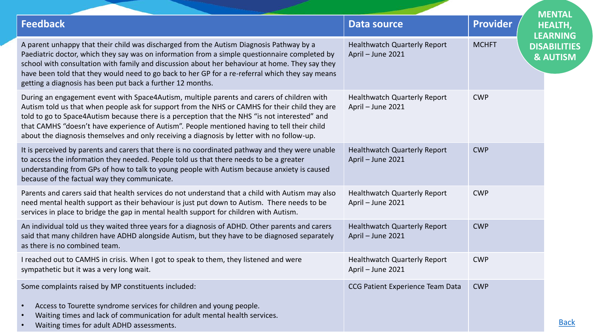|                                                                                                                                                                                                                                                                                                                                                                                                                                                                                            |                                                          |                 | <b>MENTAL</b>                              |
|--------------------------------------------------------------------------------------------------------------------------------------------------------------------------------------------------------------------------------------------------------------------------------------------------------------------------------------------------------------------------------------------------------------------------------------------------------------------------------------------|----------------------------------------------------------|-----------------|--------------------------------------------|
| <b>Feedback</b>                                                                                                                                                                                                                                                                                                                                                                                                                                                                            | <b>Data source</b>                                       | <b>Provider</b> | <b>HEALTH,</b><br><b>LEARNING</b>          |
| A parent unhappy that their child was discharged from the Autism Diagnosis Pathway by a<br>Paediatric doctor, which they say was on information from a simple questionnaire completed by<br>school with consultation with family and discussion about her behaviour at home. They say they<br>have been told that they would need to go back to her GP for a re-referral which they say means<br>getting a diagnosis has been put back a further 12 months.                                | <b>Healthwatch Quarterly Report</b><br>April - June 2021 | <b>MCHFT</b>    | <b>DISABILITIES</b><br><b>&amp; AUTISM</b> |
| During an engagement event with Space4Autism, multiple parents and carers of children with<br>Autism told us that when people ask for support from the NHS or CAMHS for their child they are<br>told to go to Space4Autism because there is a perception that the NHS "is not interested" and<br>that CAMHS "doesn't have experience of Autism". People mentioned having to tell their child<br>about the diagnosis themselves and only receiving a diagnosis by letter with no follow-up. | <b>Healthwatch Quarterly Report</b><br>April - June 2021 | <b>CWP</b>      |                                            |
| It is perceived by parents and carers that there is no coordinated pathway and they were unable<br>to access the information they needed. People told us that there needs to be a greater<br>understanding from GPs of how to talk to young people with Autism because anxiety is caused<br>because of the factual way they communicate.                                                                                                                                                   | <b>Healthwatch Quarterly Report</b><br>April - June 2021 | <b>CWP</b>      |                                            |
| Parents and carers said that health services do not understand that a child with Autism may also<br>need mental health support as their behaviour is just put down to Autism. There needs to be<br>services in place to bridge the gap in mental health support for children with Autism.                                                                                                                                                                                                  | <b>Healthwatch Quarterly Report</b><br>April - June 2021 | <b>CWP</b>      |                                            |
| An individual told us they waited three years for a diagnosis of ADHD. Other parents and carers<br>said that many children have ADHD alongside Autism, but they have to be diagnosed separately<br>as there is no combined team.                                                                                                                                                                                                                                                           | <b>Healthwatch Quarterly Report</b><br>April - June 2021 | <b>CWP</b>      |                                            |
| I reached out to CAMHS in crisis. When I got to speak to them, they listened and were<br>sympathetic but it was a very long wait.                                                                                                                                                                                                                                                                                                                                                          | <b>Healthwatch Quarterly Report</b><br>April - June 2021 | <b>CWP</b>      |                                            |
| Some complaints raised by MP constituents included:<br>Access to Tourette syndrome services for children and young people.<br>Waiting times and lack of communication for adult mental health services.<br>Waiting times for adult ADHD assessments.                                                                                                                                                                                                                                       | CCG Patient Experience Team Data                         | <b>CWP</b>      | <b>Back</b>                                |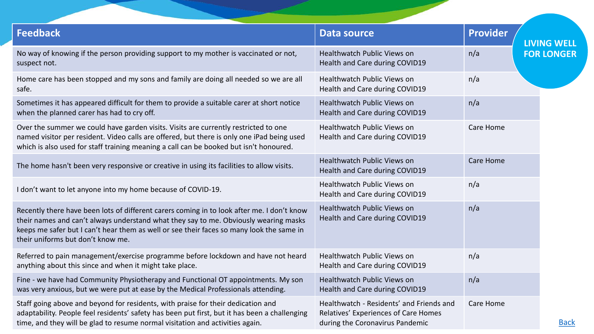<span id="page-35-0"></span>

| <b>Feedback</b>                                                                                                                                                                                                                                                                                                     | <b>Data source</b>                                                                                                  | <b>Provider</b>  | <b>LIVING WELL</b> |
|---------------------------------------------------------------------------------------------------------------------------------------------------------------------------------------------------------------------------------------------------------------------------------------------------------------------|---------------------------------------------------------------------------------------------------------------------|------------------|--------------------|
| No way of knowing if the person providing support to my mother is vaccinated or not,<br>suspect not.                                                                                                                                                                                                                | Healthwatch Public Views on<br>Health and Care during COVID19                                                       | n/a              | <b>FOR LONGER</b>  |
| Home care has been stopped and my sons and family are doing all needed so we are all<br>safe.                                                                                                                                                                                                                       | Healthwatch Public Views on<br>Health and Care during COVID19                                                       | n/a              |                    |
| Sometimes it has appeared difficult for them to provide a suitable carer at short notice<br>when the planned carer has had to cry off.                                                                                                                                                                              | Healthwatch Public Views on<br>Health and Care during COVID19                                                       | n/a              |                    |
| Over the summer we could have garden visits. Visits are currently restricted to one<br>named visitor per resident. Video calls are offered, but there is only one iPad being used<br>which is also used for staff training meaning a call can be booked but isn't honoured.                                         | Healthwatch Public Views on<br>Health and Care during COVID19                                                       | Care Home        |                    |
| The home hasn't been very responsive or creative in using its facilities to allow visits.                                                                                                                                                                                                                           | Healthwatch Public Views on<br>Health and Care during COVID19                                                       | <b>Care Home</b> |                    |
| I don't want to let anyone into my home because of COVID-19.                                                                                                                                                                                                                                                        | Healthwatch Public Views on<br>Health and Care during COVID19                                                       | n/a              |                    |
| Recently there have been lots of different carers coming in to look after me. I don't know<br>their names and can't always understand what they say to me. Obviously wearing masks<br>keeps me safer but I can't hear them as well or see their faces so many look the same in<br>their uniforms but don't know me. | Healthwatch Public Views on<br>Health and Care during COVID19                                                       | n/a              |                    |
| Referred to pain management/exercise programme before lockdown and have not heard<br>anything about this since and when it might take place.                                                                                                                                                                        | Healthwatch Public Views on<br>Health and Care during COVID19                                                       | n/a              |                    |
| Fine - we have had Community Physiotherapy and Functional OT appointments. My son<br>was very anxious, but we were put at ease by the Medical Professionals attending.                                                                                                                                              | Healthwatch Public Views on<br>Health and Care during COVID19                                                       | n/a              |                    |
| Staff going above and beyond for residents, with praise for their dedication and<br>adaptability. People feel residents' safety has been put first, but it has been a challenging<br>time, and they will be glad to resume normal visitation and activities again.                                                  | Healthwatch - Residents' and Friends and<br>Relatives' Experiences of Care Homes<br>during the Coronavirus Pandemic | Care Home        | <b>Back</b>        |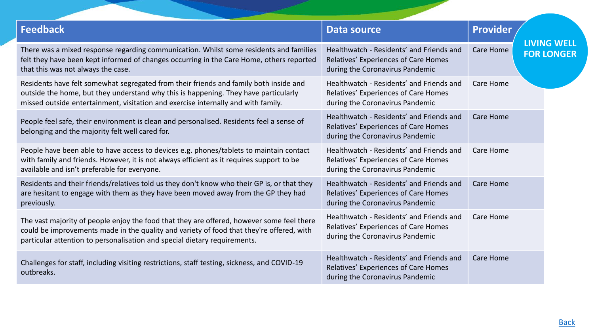| <b>Feedback</b>                                                                                                                                                                                                                                                    | <b>Data source</b>                                                                                                  | <b>Provider</b>  |                                         |
|--------------------------------------------------------------------------------------------------------------------------------------------------------------------------------------------------------------------------------------------------------------------|---------------------------------------------------------------------------------------------------------------------|------------------|-----------------------------------------|
| There was a mixed response regarding communication. Whilst some residents and families<br>felt they have been kept informed of changes occurring in the Care Home, others reported<br>that this was not always the case.                                           | Healthwatch - Residents' and Friends and<br>Relatives' Experiences of Care Homes<br>during the Coronavirus Pandemic | Care Home        | <b>LIVING WELL</b><br><b>FOR LONGER</b> |
| Residents have felt somewhat segregated from their friends and family both inside and<br>outside the home, but they understand why this is happening. They have particularly<br>missed outside entertainment, visitation and exercise internally and with family.  | Healthwatch - Residents' and Friends and<br>Relatives' Experiences of Care Homes<br>during the Coronavirus Pandemic | Care Home        |                                         |
| People feel safe, their environment is clean and personalised. Residents feel a sense of<br>belonging and the majority felt well cared for.                                                                                                                        | Healthwatch - Residents' and Friends and<br>Relatives' Experiences of Care Homes<br>during the Coronavirus Pandemic | Care Home        |                                         |
| People have been able to have access to devices e.g. phones/tablets to maintain contact<br>with family and friends. However, it is not always efficient as it requires support to be<br>available and isn't preferable for everyone.                               | Healthwatch - Residents' and Friends and<br>Relatives' Experiences of Care Homes<br>during the Coronavirus Pandemic | Care Home        |                                         |
| Residents and their friends/relatives told us they don't know who their GP is, or that they<br>are hesitant to engage with them as they have been moved away from the GP they had<br>previously.                                                                   | Healthwatch - Residents' and Friends and<br>Relatives' Experiences of Care Homes<br>during the Coronavirus Pandemic | Care Home        |                                         |
| The vast majority of people enjoy the food that they are offered, however some feel there<br>could be improvements made in the quality and variety of food that they're offered, with<br>particular attention to personalisation and special dietary requirements. | Healthwatch - Residents' and Friends and<br>Relatives' Experiences of Care Homes<br>during the Coronavirus Pandemic | Care Home        |                                         |
| Challenges for staff, including visiting restrictions, staff testing, sickness, and COVID-19<br>outbreaks.                                                                                                                                                         | Healthwatch - Residents' and Friends and<br>Relatives' Experiences of Care Homes<br>during the Coronavirus Pandemic | <b>Care Home</b> |                                         |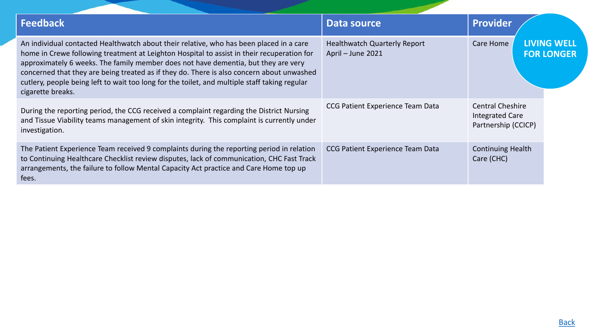| <b>Feedback</b>                                                                                                                                                                                                                                                                                                                                                                                                                                                                                | Data source                                              | Provider                                                                 |                                         |
|------------------------------------------------------------------------------------------------------------------------------------------------------------------------------------------------------------------------------------------------------------------------------------------------------------------------------------------------------------------------------------------------------------------------------------------------------------------------------------------------|----------------------------------------------------------|--------------------------------------------------------------------------|-----------------------------------------|
| An individual contacted Healthwatch about their relative, who has been placed in a care<br>home in Crewe following treatment at Leighton Hospital to assist in their recuperation for<br>approximately 6 weeks. The family member does not have dementia, but they are very<br>concerned that they are being treated as if they do. There is also concern about unwashed<br>cutlery, people being left to wait too long for the toilet, and multiple staff taking regular<br>cigarette breaks. | <b>Healthwatch Quarterly Report</b><br>April - June 2021 | <b>Care Home</b>                                                         | <b>LIVING WELL</b><br><b>FOR LONGER</b> |
| During the reporting period, the CCG received a complaint regarding the District Nursing<br>and Tissue Viability teams management of skin integrity. This complaint is currently under<br>investigation.                                                                                                                                                                                                                                                                                       | CCG Patient Experience Team Data                         | <b>Central Cheshire</b><br><b>Integrated Care</b><br>Partnership (CCICP) |                                         |
| The Patient Experience Team received 9 complaints during the reporting period in relation<br>to Continuing Healthcare Checklist review disputes, lack of communication, CHC Fast Track<br>arrangements, the failure to follow Mental Capacity Act practice and Care Home top up<br>fees.                                                                                                                                                                                                       | CCG Patient Experience Team Data                         | <b>Continuing Health</b><br>Care (CHC)                                   |                                         |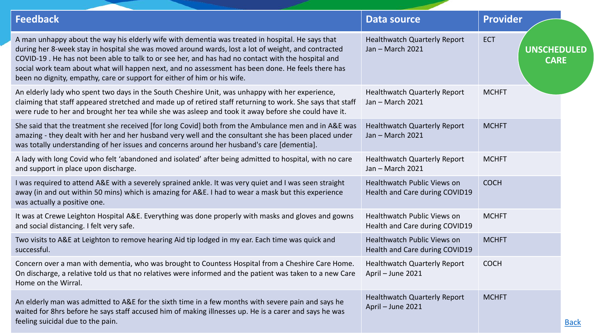<span id="page-38-0"></span>

| <b>Feedback</b>                                                                                                                                                                                                                                                                                                                                                                                                                                                                                | <b>Data source</b>                                                   | <b>Provider</b>                                 |
|------------------------------------------------------------------------------------------------------------------------------------------------------------------------------------------------------------------------------------------------------------------------------------------------------------------------------------------------------------------------------------------------------------------------------------------------------------------------------------------------|----------------------------------------------------------------------|-------------------------------------------------|
| A man unhappy about the way his elderly wife with dementia was treated in hospital. He says that<br>during her 8-week stay in hospital she was moved around wards, lost a lot of weight, and contracted<br>COVID-19. He has not been able to talk to or see her, and has had no contact with the hospital and<br>social work team about what will happen next, and no assessment has been done. He feels there has<br>been no dignity, empathy, care or support for either of him or his wife. | <b>Healthwatch Quarterly Report</b><br>Jan - March 2021              | <b>ECT</b><br><b>UNSCHEDULED</b><br><b>CARE</b> |
| An elderly lady who spent two days in the South Cheshire Unit, was unhappy with her experience,<br>claiming that staff appeared stretched and made up of retired staff returning to work. She says that staff<br>were rude to her and brought her tea while she was asleep and took it away before she could have it.                                                                                                                                                                          | <b>Healthwatch Quarterly Report</b><br>Jan - March 2021              | <b>MCHFT</b>                                    |
| She said that the treatment she received [for long Covid] both from the Ambulance men and in A&E was<br>amazing - they dealt with her and her husband very well and the consultant she has been placed under<br>was totally understanding of her issues and concerns around her husband's care [dementia].                                                                                                                                                                                     | <b>Healthwatch Quarterly Report</b><br>Jan - March 2021              | <b>MCHFT</b>                                    |
| A lady with long Covid who felt 'abandoned and isolated' after being admitted to hospital, with no care<br>and support in place upon discharge.                                                                                                                                                                                                                                                                                                                                                | <b>Healthwatch Quarterly Report</b><br>Jan - March 2021              | <b>MCHFT</b>                                    |
| I was required to attend A&E with a severely sprained ankle. It was very quiet and I was seen straight<br>away (in and out within 50 mins) which is amazing for A&E. I had to wear a mask but this experience<br>was actually a positive one.                                                                                                                                                                                                                                                  | <b>Healthwatch Public Views on</b><br>Health and Care during COVID19 | <b>COCH</b>                                     |
| It was at Crewe Leighton Hospital A&E. Everything was done properly with masks and gloves and gowns<br>and social distancing. I felt very safe.                                                                                                                                                                                                                                                                                                                                                | <b>Healthwatch Public Views on</b><br>Health and Care during COVID19 | <b>MCHFT</b>                                    |
| Two visits to A&E at Leighton to remove hearing Aid tip lodged in my ear. Each time was quick and<br>successful.                                                                                                                                                                                                                                                                                                                                                                               | <b>Healthwatch Public Views on</b><br>Health and Care during COVID19 | <b>MCHFT</b>                                    |
| Concern over a man with dementia, who was brought to Countess Hospital from a Cheshire Care Home.<br>On discharge, a relative told us that no relatives were informed and the patient was taken to a new Care<br>Home on the Wirral.                                                                                                                                                                                                                                                           | <b>Healthwatch Quarterly Report</b><br>April - June 2021             | <b>COCH</b>                                     |
| An elderly man was admitted to A&E for the sixth time in a few months with severe pain and says he<br>waited for 8hrs before he says staff accused him of making illnesses up. He is a carer and says he was<br>feeling suicidal due to the pain.                                                                                                                                                                                                                                              | <b>Healthwatch Quarterly Report</b><br>April - June 2021             | <b>MCHFT</b><br><b>Back</b>                     |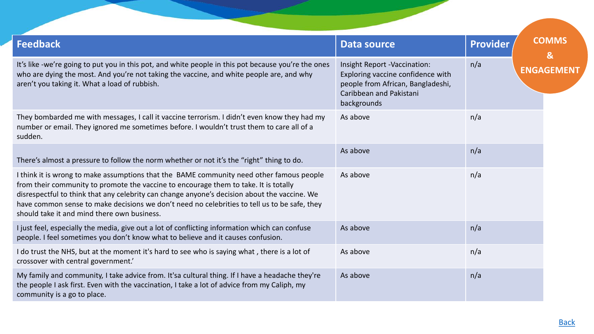<span id="page-39-0"></span>

| <b>Feedback</b>                                                                                                                                                                                                                                                                                                                                                                                                                 | <b>Data source</b>                                                                                                                               | <b>Provider</b> | <b>COMMS</b><br>$\mathbf{g}$ |
|---------------------------------------------------------------------------------------------------------------------------------------------------------------------------------------------------------------------------------------------------------------------------------------------------------------------------------------------------------------------------------------------------------------------------------|--------------------------------------------------------------------------------------------------------------------------------------------------|-----------------|------------------------------|
| It's like -we're going to put you in this pot, and white people in this pot because you're the ones<br>who are dying the most. And you're not taking the vaccine, and white people are, and why<br>aren't you taking it. What a load of rubbish.                                                                                                                                                                                | Insight Report -Vaccination:<br>Exploring vaccine confidence with<br>people from African, Bangladeshi,<br>Caribbean and Pakistani<br>backgrounds | n/a             | <b>ENGAGEMENT</b>            |
| They bombarded me with messages, I call it vaccine terrorism. I didn't even know they had my<br>number or email. They ignored me sometimes before. I wouldn't trust them to care all of a<br>sudden.                                                                                                                                                                                                                            | As above                                                                                                                                         | n/a             |                              |
| There's almost a pressure to follow the norm whether or not it's the "right" thing to do.                                                                                                                                                                                                                                                                                                                                       | As above                                                                                                                                         | n/a             |                              |
| I think it is wrong to make assumptions that the BAME community need other famous people<br>from their community to promote the vaccine to encourage them to take. It is totally<br>disrespectful to think that any celebrity can change anyone's decision about the vaccine. We<br>have common sense to make decisions we don't need no celebrities to tell us to be safe, they<br>should take it and mind there own business. | As above                                                                                                                                         | n/a             |                              |
| I just feel, especially the media, give out a lot of conflicting information which can confuse<br>people. I feel sometimes you don't know what to believe and it causes confusion.                                                                                                                                                                                                                                              | As above                                                                                                                                         | n/a             |                              |
| I do trust the NHS, but at the moment it's hard to see who is saying what, there is a lot of<br>crossover with central government.'                                                                                                                                                                                                                                                                                             | As above                                                                                                                                         | n/a             |                              |
| My family and community, I take advice from. It'sa cultural thing. If I have a headache they're<br>the people I ask first. Even with the vaccination, I take a lot of advice from my Caliph, my<br>community is a go to place.                                                                                                                                                                                                  | As above                                                                                                                                         | n/a             |                              |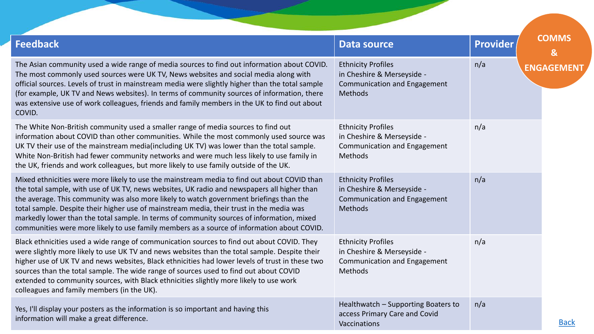| <b>Feedback</b>                                                                                                                                                                                                                                                                                                                                                                                                                                                                                                                                                              | <b>Data source</b>                                                                                               | <b>Provider</b> | <b>COMMS</b><br>& |
|------------------------------------------------------------------------------------------------------------------------------------------------------------------------------------------------------------------------------------------------------------------------------------------------------------------------------------------------------------------------------------------------------------------------------------------------------------------------------------------------------------------------------------------------------------------------------|------------------------------------------------------------------------------------------------------------------|-----------------|-------------------|
| The Asian community used a wide range of media sources to find out information about COVID.<br>The most commonly used sources were UK TV, News websites and social media along with<br>official sources. Levels of trust in mainstream media were slightly higher than the total sample<br>(for example, UK TV and News websites). In terms of community sources of information, there<br>was extensive use of work colleagues, friends and family members in the UK to find out about<br>COVID.                                                                             | <b>Ethnicity Profiles</b><br>in Cheshire & Merseyside -<br><b>Communication and Engagement</b><br><b>Methods</b> | n/a             | <b>ENGAGEMEN1</b> |
| The White Non-British community used a smaller range of media sources to find out<br>information about COVID than other communities. While the most commonly used source was<br>UK TV their use of the mainstream media(including UK TV) was lower than the total sample.<br>White Non-British had fewer community networks and were much less likely to use family in<br>the UK, friends and work colleagues, but more likely to use family outside of the UK.                                                                                                              | <b>Ethnicity Profiles</b><br>in Cheshire & Merseyside -<br><b>Communication and Engagement</b><br><b>Methods</b> | n/a             |                   |
| Mixed ethnicities were more likely to use the mainstream media to find out about COVID than<br>the total sample, with use of UK TV, news websites, UK radio and newspapers all higher than<br>the average. This community was also more likely to watch government briefings than the<br>total sample. Despite their higher use of mainstream media, their trust in the media was<br>markedly lower than the total sample. In terms of community sources of information, mixed<br>communities were more likely to use family members as a source of information about COVID. | <b>Ethnicity Profiles</b><br>in Cheshire & Merseyside -<br><b>Communication and Engagement</b><br><b>Methods</b> | n/a             |                   |
| Black ethnicities used a wide range of communication sources to find out about COVID. They<br>were slightly more likely to use UK TV and news websites than the total sample. Despite their<br>higher use of UK TV and news websites, Black ethnicities had lower levels of trust in these two<br>sources than the total sample. The wide range of sources used to find out about COVID<br>extended to community sources, with Black ethnicities slightly more likely to use work<br>colleagues and family members (in the UK).                                              | <b>Ethnicity Profiles</b><br>in Cheshire & Merseyside -<br><b>Communication and Engagement</b><br><b>Methods</b> | n/a             |                   |
| Yes, I'll display your posters as the information is so important and having this<br>information will make a great difference.                                                                                                                                                                                                                                                                                                                                                                                                                                               | Healthwatch - Supporting Boaters to<br>access Primary Care and Covid<br>Vaccinations                             | n/a             | <b>Back</b>       |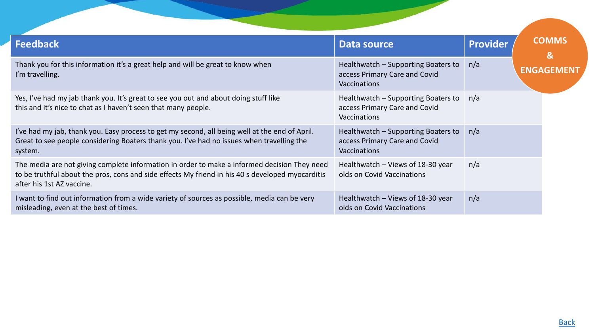| <b>Feedback</b>                                                                                                                                                                                                               | Data source                                                                                 | <b>Provider</b> | <b>COMMS</b><br>$\mathbf{g}$ |
|-------------------------------------------------------------------------------------------------------------------------------------------------------------------------------------------------------------------------------|---------------------------------------------------------------------------------------------|-----------------|------------------------------|
| Thank you for this information it's a great help and will be great to know when<br>I'm travelling.                                                                                                                            | Healthwatch – Supporting Boaters to<br>access Primary Care and Covid<br><b>Vaccinations</b> | n/a             | <b>ENGAGEMEN</b>             |
| Yes, I've had my jab thank you. It's great to see you out and about doing stuff like<br>this and it's nice to chat as I haven't seen that many people.                                                                        | Healthwatch – Supporting Boaters to<br>access Primary Care and Covid<br><b>Vaccinations</b> | n/a             |                              |
| I've had my jab, thank you. Easy process to get my second, all being well at the end of April.<br>Great to see people considering Boaters thank you. I've had no issues when travelling the<br>system.                        | Healthwatch – Supporting Boaters to<br>access Primary Care and Covid<br><b>Vaccinations</b> | n/a             |                              |
| The media are not giving complete information in order to make a informed decision They need<br>to be truthful about the pros, cons and side effects My friend in his 40 s developed myocarditis<br>after his 1st AZ vaccine. | Healthwatch - Views of 18-30 year<br>olds on Covid Vaccinations                             | n/a             |                              |
| I want to find out information from a wide variety of sources as possible, media can be very<br>misleading, even at the best of times.                                                                                        | Healthwatch – Views of 18-30 year<br>olds on Covid Vaccinations                             | n/a             |                              |